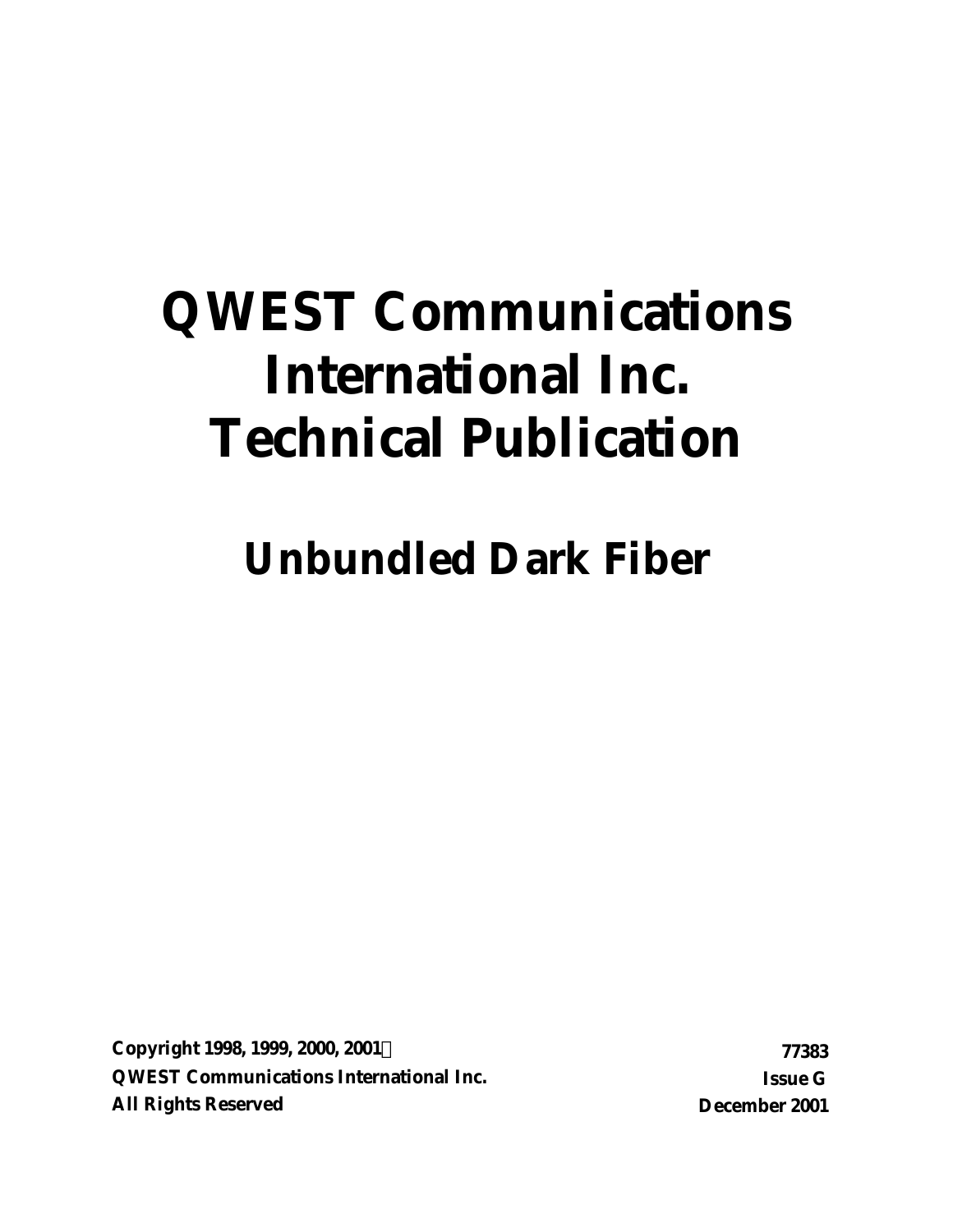# **QWEST Communications International Inc. Technical Publication**

# **Unbundled Dark Fiber**

**Copyright 1998, 1999, 2000, 2001Ó 77383 QWEST Communications International Inc. Issue G All Rights Reserved December 2001**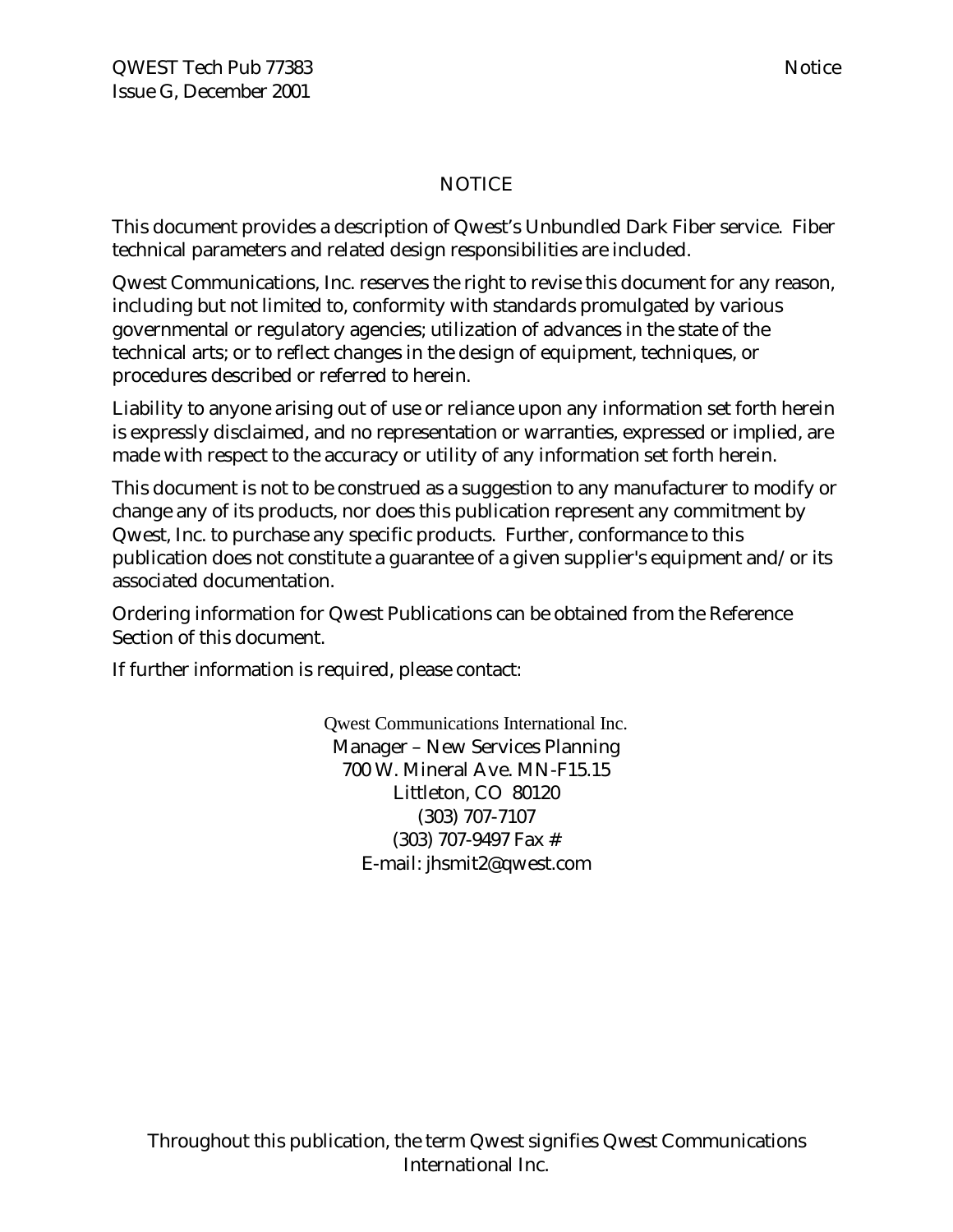#### NOTICE

This document provides a description of Qwest's Unbundled Dark Fiber service. Fiber technical parameters and related design responsibilities are included.

Qwest Communications, Inc. reserves the right to revise this document for any reason, including but not limited to, conformity with standards promulgated by various governmental or regulatory agencies; utilization of advances in the state of the technical arts; or to reflect changes in the design of equipment, techniques, or procedures described or referred to herein.

Liability to anyone arising out of use or reliance upon any information set forth herein is expressly disclaimed, and no representation or warranties, expressed or implied, are made with respect to the accuracy or utility of any information set forth herein.

This document is not to be construed as a suggestion to any manufacturer to modify or change any of its products, nor does this publication represent any commitment by Qwest, Inc. to purchase any specific products. Further, conformance to this publication does not constitute a guarantee of a given supplier's equipment and/or its associated documentation.

Ordering information for Qwest Publications can be obtained from the Reference Section of this document.

If further information is required, please contact:

Qwest Communications International Inc. Manager – New Services Planning 700 W. Mineral Ave. MN-F15.15 Littleton, CO 80120 (303) 707-7107 (303) 707-9497 Fax # E-mail: jhsmit2@qwest.com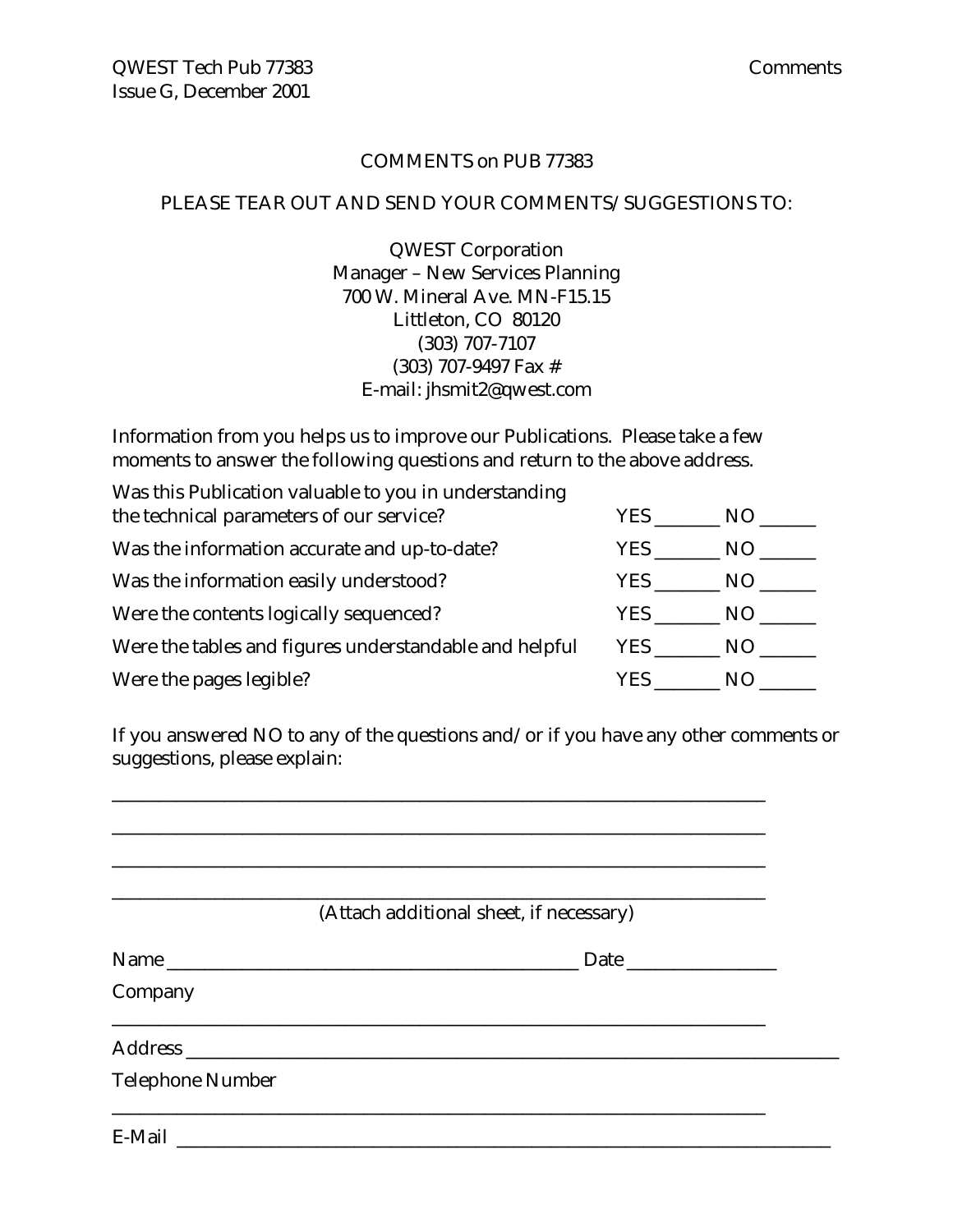#### COMMENTS on PUB 77383

#### PLEASE TEAR OUT AND SEND YOUR COMMENTS/SUGGESTIONS TO:

QWEST Corporation Manager – New Services Planning 700 W. Mineral Ave. MN-F15.15 Littleton, CO 80120 (303) 707-7107 (303) 707-9497 Fax # E-mail: jhsmit2@qwest.com

Information from you helps us to improve our Publications. Please take a few moments to answer the following questions and return to the above address.

| Was this Publication valuable to you in understanding  |      |     |
|--------------------------------------------------------|------|-----|
| the technical parameters of our service?               | YES. | NO. |
| Was the information accurate and up-to-date?           | YES. | NO. |
| Was the information easily understood?                 | YES  | NO. |
| Were the contents logically sequenced?                 | YES  | NO. |
| Were the tables and figures understandable and helpful | YES  | NO. |
| Were the pages legible?                                | YES. | N() |

If you answered NO to any of the questions and/or if you have any other comments or suggestions, please explain:

\_\_\_\_\_\_\_\_\_\_\_\_\_\_\_\_\_\_\_\_\_\_\_\_\_\_\_\_\_\_\_\_\_\_\_\_\_\_\_\_\_\_\_\_\_\_\_\_\_\_\_\_\_\_\_\_\_\_\_\_\_\_\_\_\_\_\_\_\_\_

|                         | (Attach additional sheet, if necessary) |
|-------------------------|-----------------------------------------|
|                         |                                         |
| Company                 |                                         |
|                         |                                         |
| <b>Telephone Number</b> |                                         |
|                         |                                         |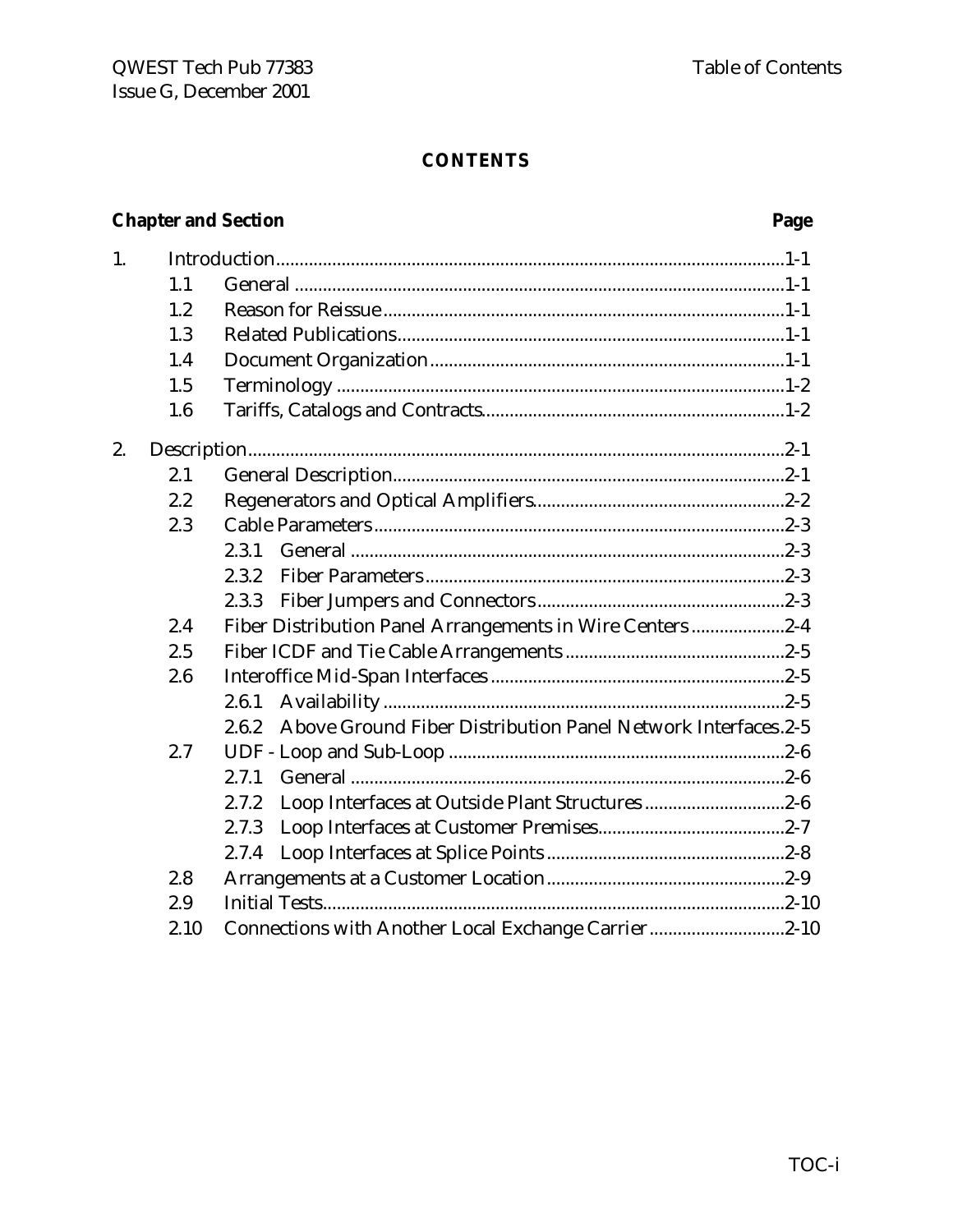#### **CONTENTS**

# **Chapter and Section**

### Page

| 1. |      |                                                                       |
|----|------|-----------------------------------------------------------------------|
|    | 1.1  |                                                                       |
|    | 1.2  |                                                                       |
|    | 1.3  |                                                                       |
|    | 1.4  |                                                                       |
|    | 1.5  |                                                                       |
|    | 1.6  |                                                                       |
| 2. |      |                                                                       |
|    | 2.1  |                                                                       |
|    | 2.2  |                                                                       |
|    | 2.3  |                                                                       |
|    |      | 2.3.1                                                                 |
|    |      | 2.3.2                                                                 |
|    |      | 2.3.3                                                                 |
|    | 2.4  | Fiber Distribution Panel Arrangements in Wire Centers2-4              |
|    | 2.5  |                                                                       |
|    | 2.6  |                                                                       |
|    |      | 2.6.1                                                                 |
|    |      | Above Ground Fiber Distribution Panel Network Interfaces.2-5<br>2.6.2 |
|    | 2.7  |                                                                       |
|    |      | 2.7.1                                                                 |
|    |      | Loop Interfaces at Outside Plant Structures2-6<br>2.7.2               |
|    |      | 2.7.3                                                                 |
|    |      | 2.7.4                                                                 |
|    | 2.8  |                                                                       |
|    | 2.9  |                                                                       |
|    | 2.10 | Connections with Another Local Exchange Carrier2-10                   |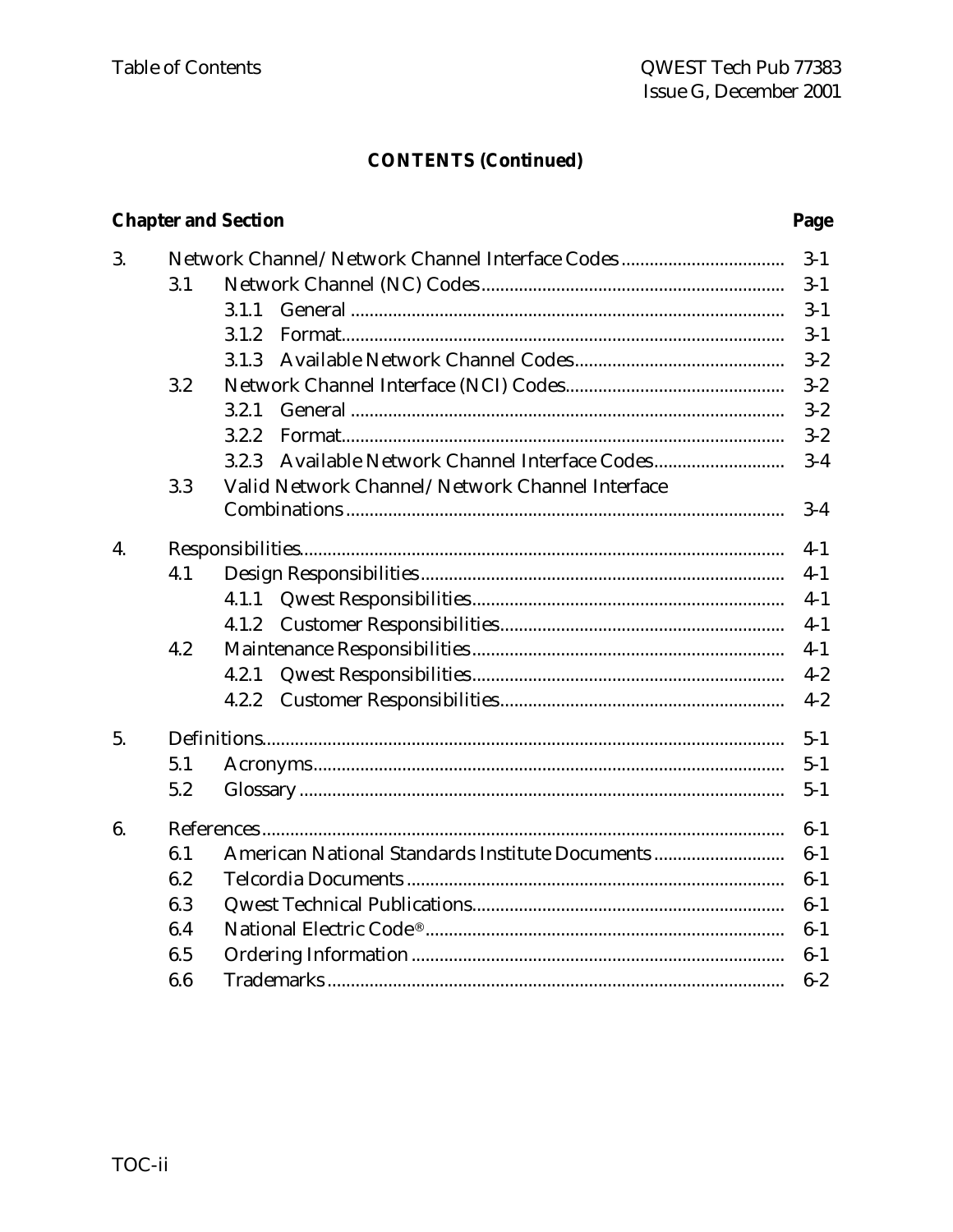### **CONTENTS (Continued)**

### **Chapter and Section**

#### Page

| 3. |     | Network Channel/Network Channel Interface Codes | $3-1$   |
|----|-----|-------------------------------------------------|---------|
|    | 3.1 |                                                 | $3 - 1$ |
|    |     | 3.1.1                                           | $3 - 1$ |
|    |     | 3.1.2                                           | $3 - 1$ |
|    |     | 3.1.3                                           | $3 - 2$ |
|    | 3.2 |                                                 | $3 - 2$ |
|    |     | 3.2.1                                           | $3 - 2$ |
|    |     | 3.2.2                                           | $3 - 2$ |
|    |     | 3.2.3                                           | $3-4$   |
|    | 3.3 | Valid Network Channel/Network Channel Interface |         |
|    |     |                                                 | $3 - 4$ |
| 4. |     |                                                 | $4 - 1$ |
|    | 4.1 |                                                 | $4 - 1$ |
|    |     | 4.1.1                                           | $4-1$   |
|    |     | 4.1.2                                           | $4-1$   |
|    | 4.2 |                                                 | $4 - 1$ |
|    |     | 4.2.1                                           | $4 - 2$ |
|    |     | 4.2.2                                           | $4 - 2$ |
| 5. |     |                                                 | $5 - 1$ |
|    | 5.1 |                                                 | $5 - 1$ |
|    | 5.2 |                                                 | $5 - 1$ |
| 6. |     |                                                 | $6-1$   |
|    | 6.1 | American National Standards Institute Documents | $6 - 1$ |
|    | 6.2 |                                                 | $6-1$   |
|    | 6.3 |                                                 | $6-1$   |
|    | 6.4 |                                                 | $6-1$   |
|    | 6.5 |                                                 | $6-1$   |
|    | 6.6 |                                                 | $6 - 2$ |
|    |     |                                                 |         |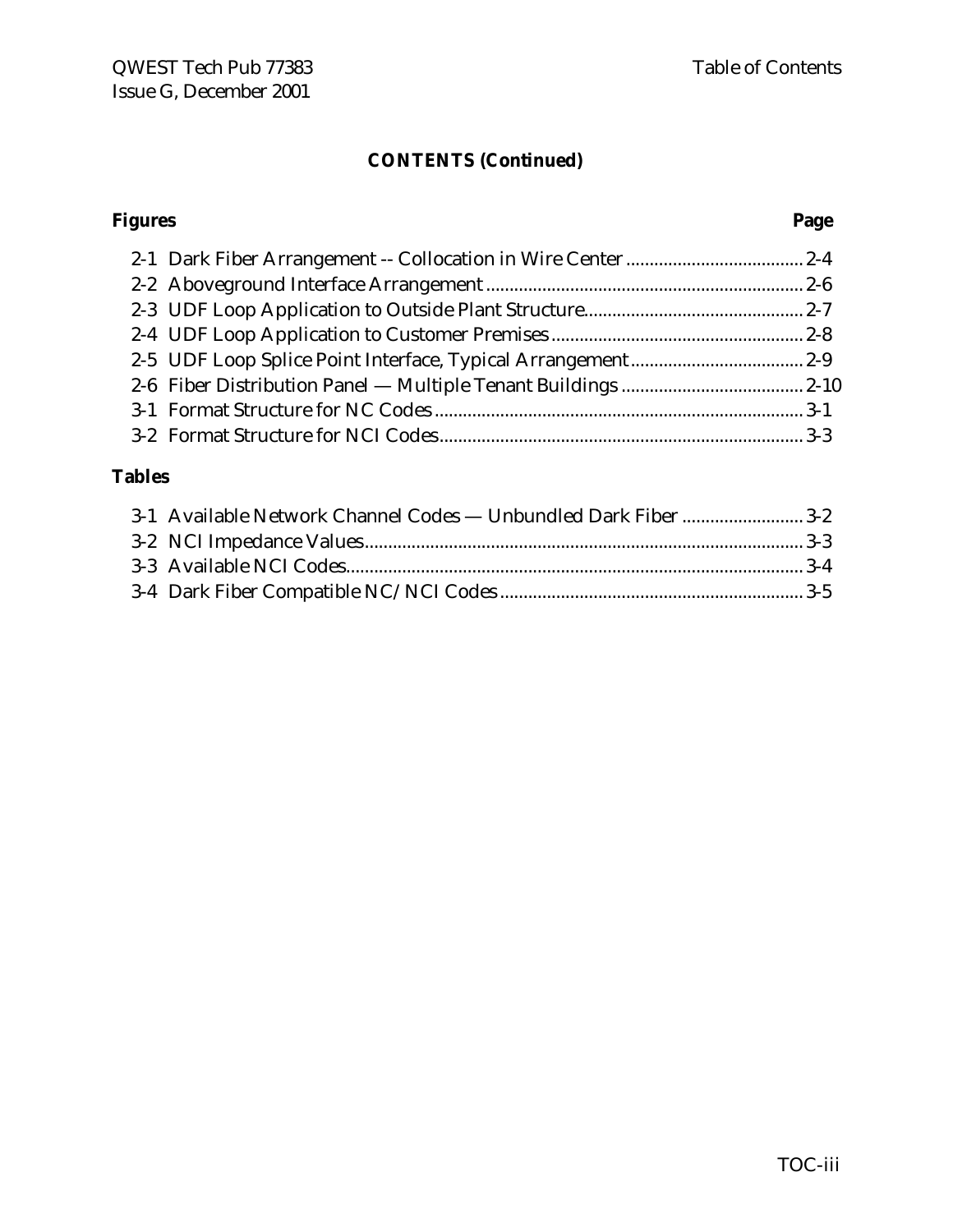#### **CONTENTS (Continued)**

# **Figures Page** 2-1 Dark Fiber Arrangement -- Collocation in Wire Center...................................... 2-4

#### **Tables**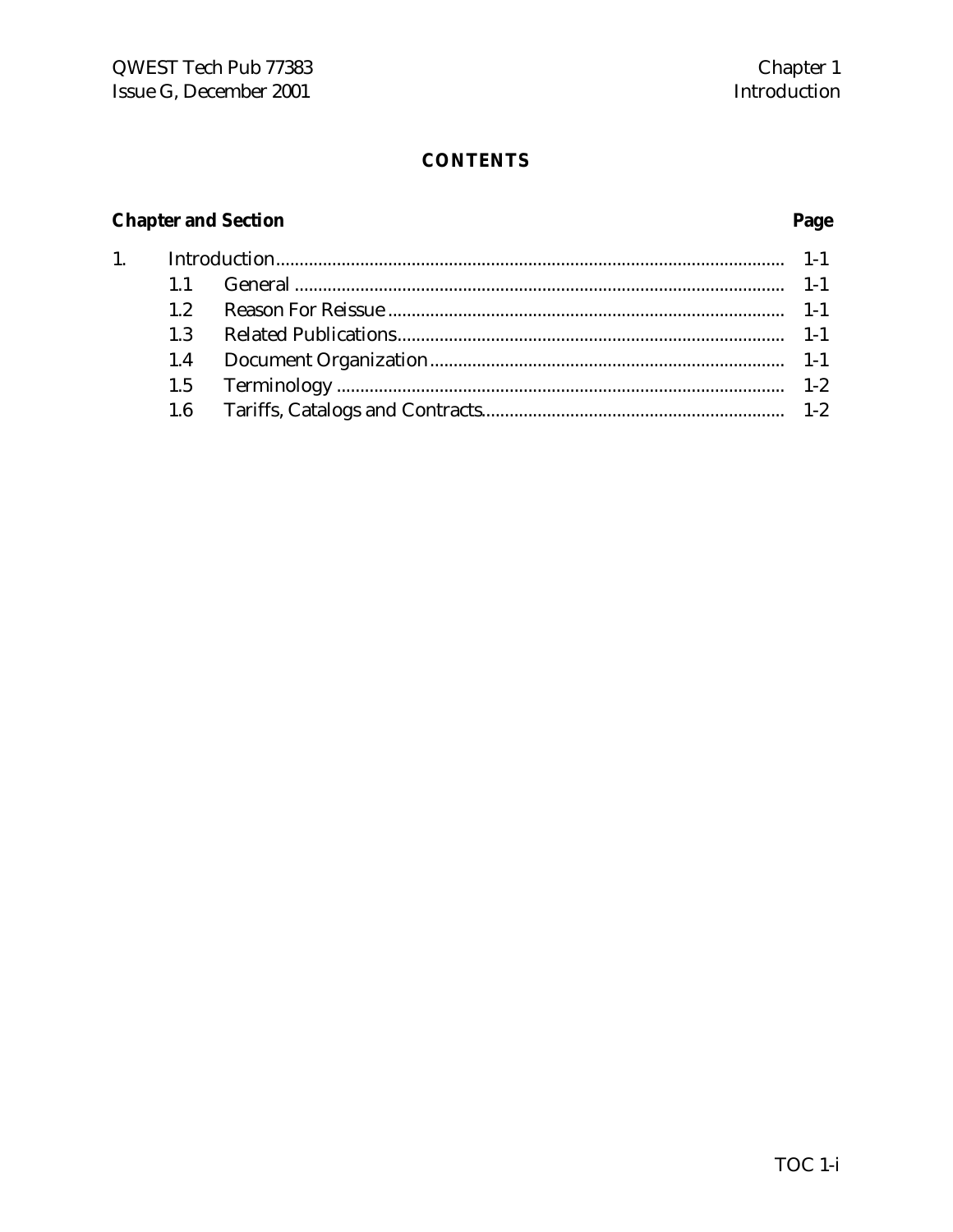Page

### **CONTENTS**

# **Chapter and Section**

 $1.$ 

| 12  |  |
|-----|--|
| 1.3 |  |
|     |  |
|     |  |
|     |  |
|     |  |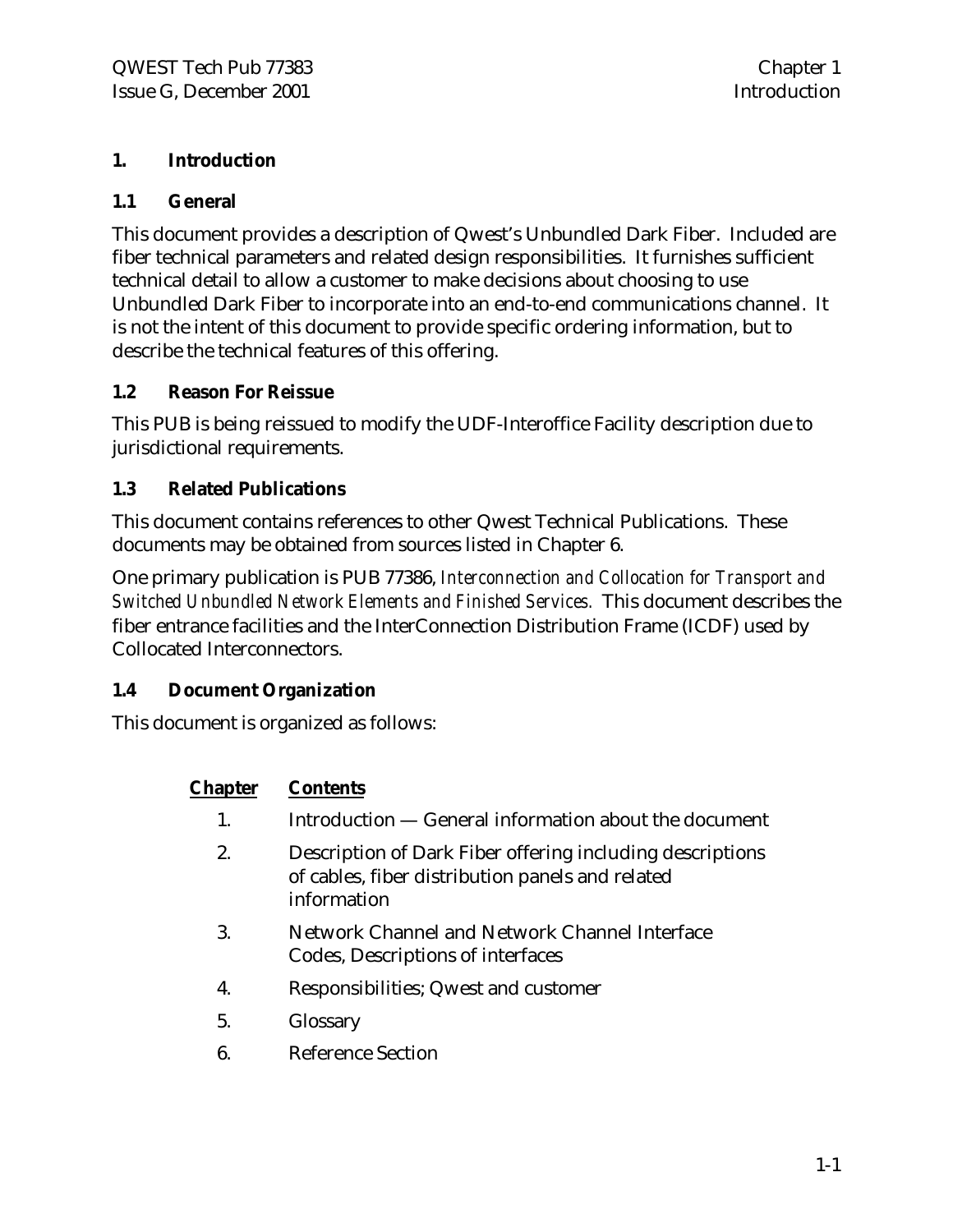#### **1. Introduction**

#### **1.1 General**

This document provides a description of Qwest's Unbundled Dark Fiber. Included are fiber technical parameters and related design responsibilities. It furnishes sufficient technical detail to allow a customer to make decisions about choosing to use Unbundled Dark Fiber to incorporate into an end-to-end communications channel. It is not the intent of this document to provide specific ordering information, but to describe the technical features of this offering.

#### **1.2 Reason For Reissue**

This PUB is being reissued to modify the UDF-Interoffice Facility description due to jurisdictional requirements.

#### **1.3 Related Publications**

This document contains references to other Qwest Technical Publications. These documents may be obtained from sources listed in Chapter 6.

One primary publication is PUB 77386, *Interconnection and Collocation for Transport and Switched Unbundled Network Elements and Finished Services.* This document describes the fiber entrance facilities and the InterConnection Distribution Frame (ICDF) used by Collocated Interconnectors.

#### **1.4 Document Organization**

This document is organized as follows:

#### **Chapter Contents**

- 1. Introduction General information about the document
- 2. Description of Dark Fiber offering including descriptions of cables, fiber distribution panels and related information
- 3. Network Channel and Network Channel Interface Codes, Descriptions of interfaces
- 4. Responsibilities; Qwest and customer
- 5. Glossary
- 6. Reference Section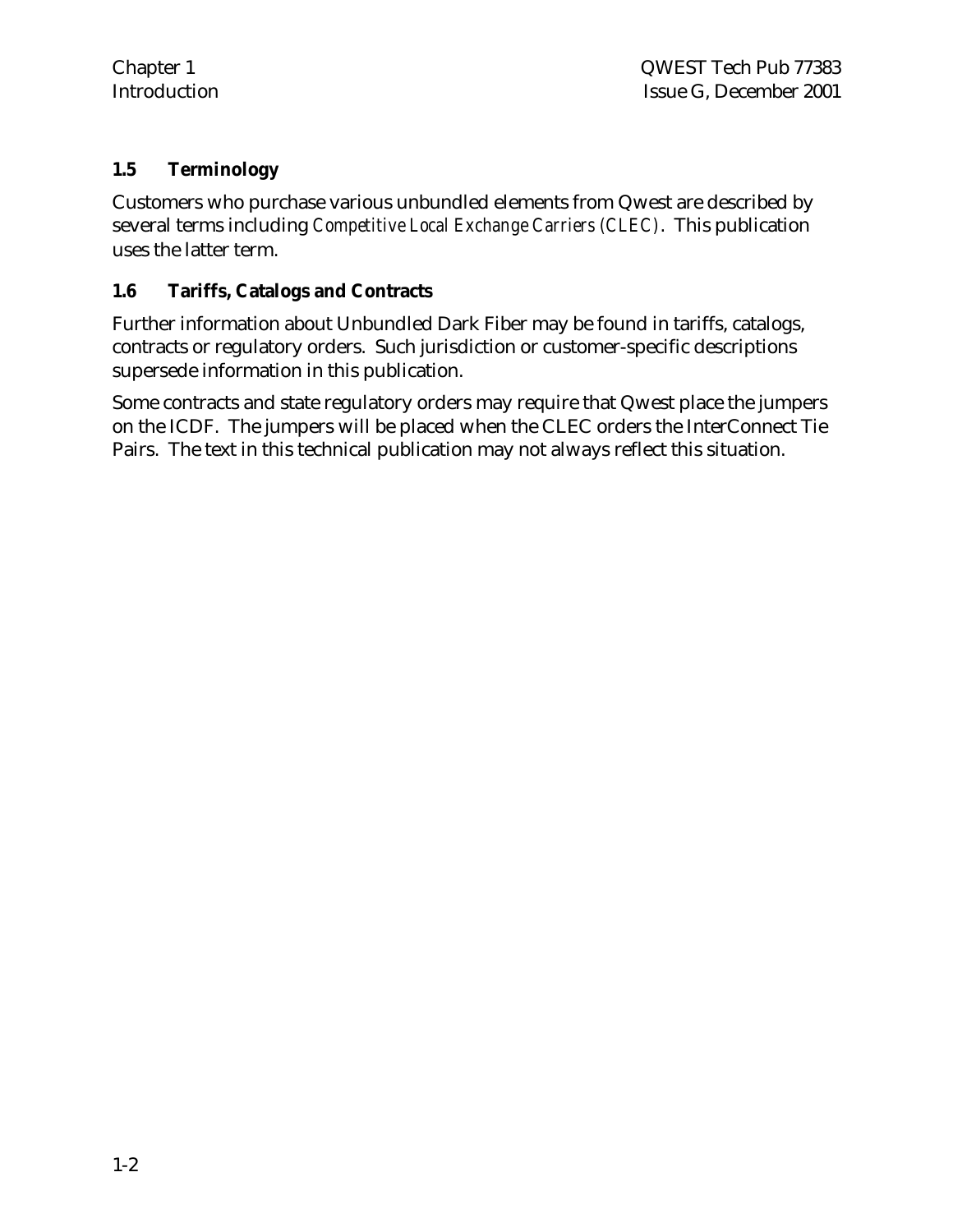#### **1.5 Terminology**

Customers who purchase various unbundled elements from Qwest are described by several terms including *Competitive Local Exchange Carriers (CLEC)*. This publication uses the latter term.

#### **1.6 Tariffs, Catalogs and Contracts**

Further information about Unbundled Dark Fiber may be found in tariffs, catalogs, contracts or regulatory orders. Such jurisdiction or customer-specific descriptions supersede information in this publication.

Some contracts and state regulatory orders may require that Qwest place the jumpers on the ICDF. The jumpers will be placed when the CLEC orders the InterConnect Tie Pairs. The text in this technical publication may not always reflect this situation.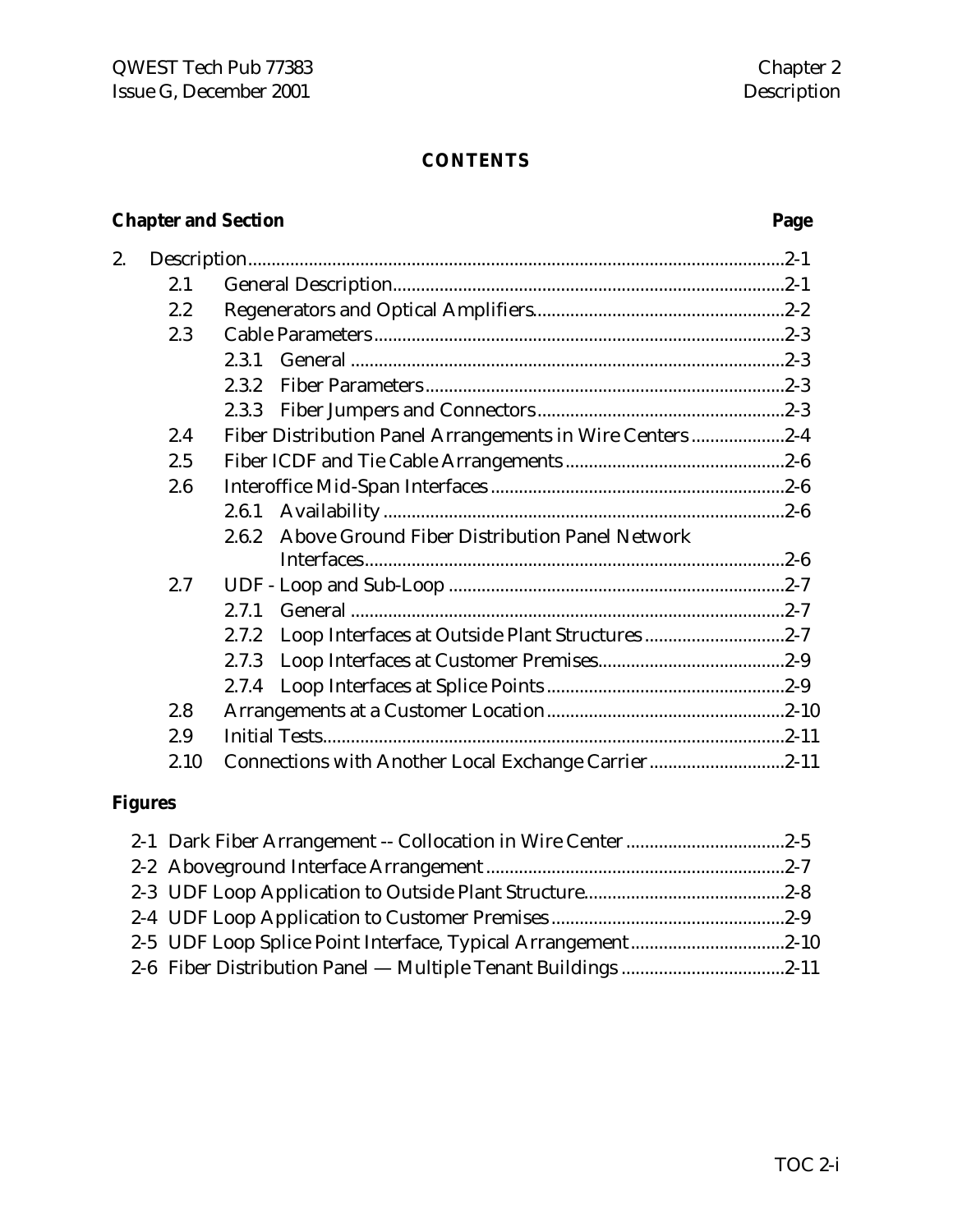### **CONTENTS**

# **Chapter and Section Page**

| 2. |      |                                                          |  |
|----|------|----------------------------------------------------------|--|
|    | 2.1  |                                                          |  |
|    | 2.2  |                                                          |  |
|    | 2.3  |                                                          |  |
|    |      | 2.3.1                                                    |  |
|    |      | 2.3.2                                                    |  |
|    |      | 2.3.3                                                    |  |
|    | 2.4  | Fiber Distribution Panel Arrangements in Wire Centers2-4 |  |
|    | 2.5  |                                                          |  |
|    | 2.6  |                                                          |  |
|    |      | 2.6.1                                                    |  |
|    |      | Above Ground Fiber Distribution Panel Network<br>2.6.2   |  |
|    |      |                                                          |  |
|    | 2.7  |                                                          |  |
|    |      | 2.7.1                                                    |  |
|    |      | Loop Interfaces at Outside Plant Structures2-7<br>2.7.2  |  |
|    |      | 2.7.3                                                    |  |
|    |      |                                                          |  |
|    | 2.8  |                                                          |  |
|    | 2.9  |                                                          |  |
|    | 2.10 | Connections with Another Local Exchange Carrier2-11      |  |

### **Figures**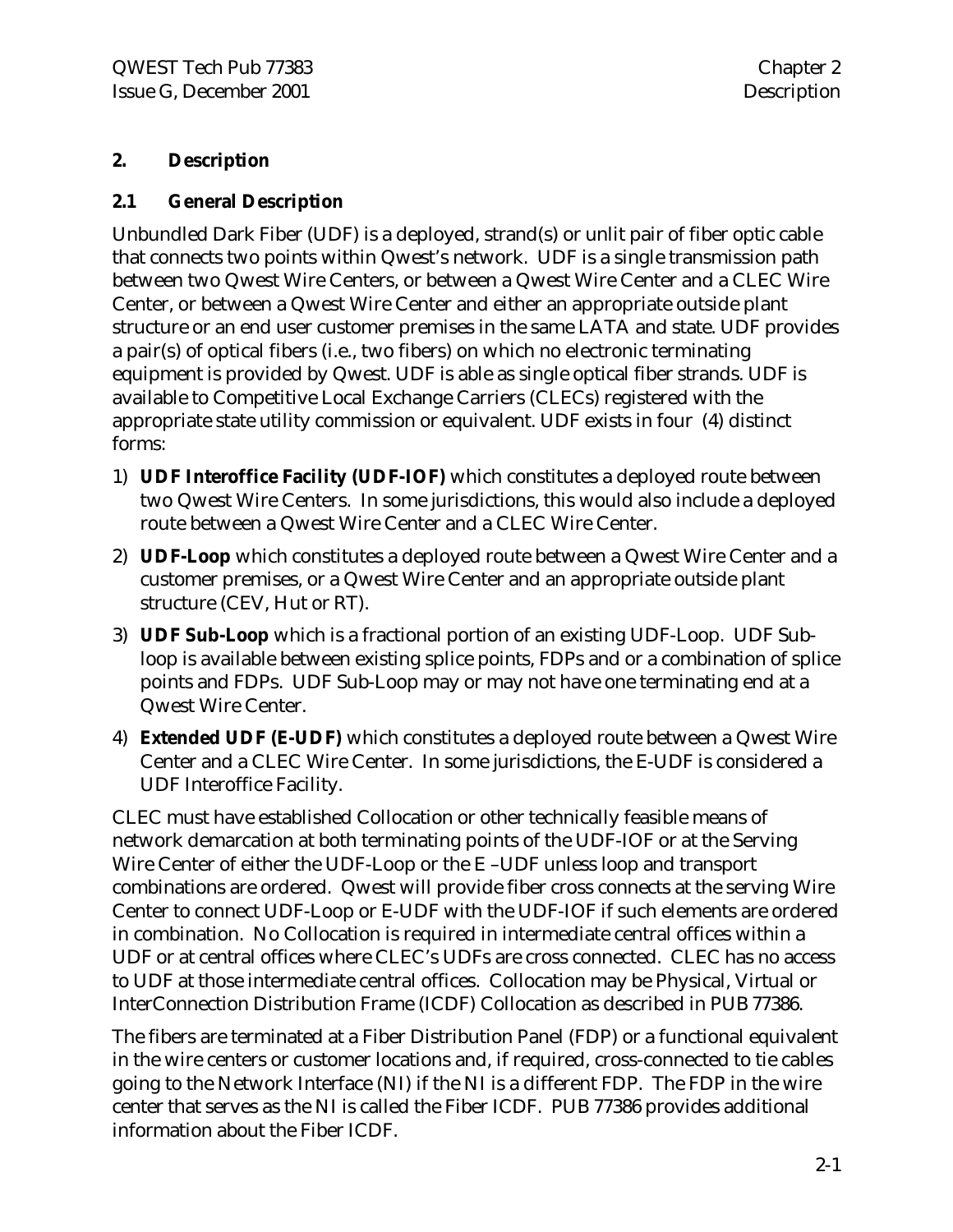#### **2. Description**

#### **2.1 General Description**

Unbundled Dark Fiber (UDF) is a deployed, strand(s) or unlit pair of fiber optic cable that connects two points within Qwest's network. UDF is a single transmission path between two Qwest Wire Centers, or between a Qwest Wire Center and a CLEC Wire Center, or between a Qwest Wire Center and either an appropriate outside plant structure or an end user customer premises in the same LATA and state. UDF provides a pair(s) of optical fibers (i.e., two fibers) on which no electronic terminating equipment is provided by Qwest. UDF is able as single optical fiber strands. UDF is available to Competitive Local Exchange Carriers (CLECs) registered with the appropriate state utility commission or equivalent. UDF exists in four (4) distinct forms:

- 1) **UDF Interoffice Facility (UDF-IOF)** which constitutes a deployed route between two Qwest Wire Centers. In some jurisdictions, this would also include a deployed route between a Qwest Wire Center and a CLEC Wire Center.
- 2) **UDF-Loop** which constitutes a deployed route between a Qwest Wire Center and a customer premises, or a Qwest Wire Center and an appropriate outside plant structure (CEV, Hut or RT).
- 3) **UDF Sub-Loop** which is a fractional portion of an existing UDF-Loop. UDF Subloop is available between existing splice points, FDPs and or a combination of splice points and FDPs. UDF Sub-Loop may or may not have one terminating end at a Qwest Wire Center.
- 4) **Extended UDF (E-UDF)** which constitutes a deployed route between a Qwest Wire Center and a CLEC Wire Center. In some jurisdictions, the E-UDF is considered a UDF Interoffice Facility.

CLEC must have established Collocation or other technically feasible means of network demarcation at both terminating points of the UDF-IOF or at the Serving Wire Center of either the UDF-Loop or the E-UDF unless loop and transport combinations are ordered. Qwest will provide fiber cross connects at the serving Wire Center to connect UDF-Loop or E-UDF with the UDF-IOF if such elements are ordered in combination. No Collocation is required in intermediate central offices within a UDF or at central offices where CLEC's UDFs are cross connected. CLEC has no access to UDF at those intermediate central offices. Collocation may be Physical, Virtual or InterConnection Distribution Frame (ICDF) Collocation as described in PUB 77386.

The fibers are terminated at a Fiber Distribution Panel (FDP) or a functional equivalent in the wire centers or customer locations and, if required, cross-connected to tie cables going to the Network Interface (NI) if the NI is a different FDP. The FDP in the wire center that serves as the NI is called the Fiber ICDF. PUB 77386 provides additional information about the Fiber ICDF.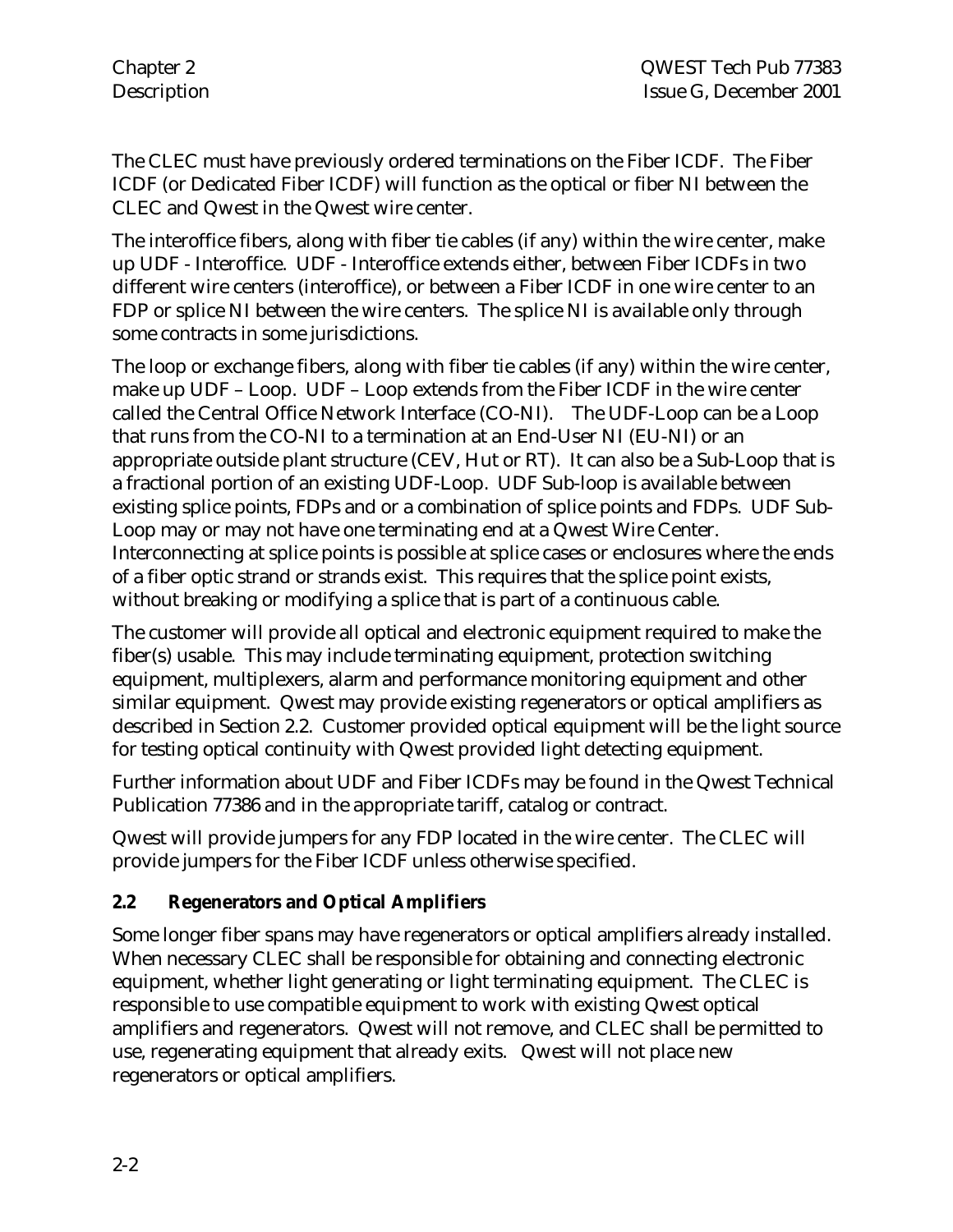The CLEC must have previously ordered terminations on the Fiber ICDF. The Fiber ICDF (or Dedicated Fiber ICDF) will function as the optical or fiber NI between the CLEC and Qwest in the Qwest wire center.

The interoffice fibers, along with fiber tie cables (if any) within the wire center, make up UDF - Interoffice. UDF - Interoffice extends either, between Fiber ICDFs in two different wire centers (interoffice), or between a Fiber ICDF in one wire center to an FDP or splice NI between the wire centers. The splice NI is available only through some contracts in some jurisdictions.

The loop or exchange fibers, along with fiber tie cables (if any) within the wire center, make up UDF – Loop. UDF – Loop extends from the Fiber ICDF in the wire center called the Central Office Network Interface (CO-NI). The UDF-Loop can be a Loop that runs from the CO-NI to a termination at an End-User NI (EU-NI) or an appropriate outside plant structure (CEV, Hut or RT). It can also be a Sub-Loop that is a fractional portion of an existing UDF-Loop. UDF Sub-loop is available between existing splice points, FDPs and or a combination of splice points and FDPs. UDF Sub-Loop may or may not have one terminating end at a Qwest Wire Center. Interconnecting at splice points is possible at splice cases or enclosures where the ends of a fiber optic strand or strands exist. This requires that the splice point exists, without breaking or modifying a splice that is part of a continuous cable.

The customer will provide all optical and electronic equipment required to make the fiber(s) usable. This may include terminating equipment, protection switching equipment, multiplexers, alarm and performance monitoring equipment and other similar equipment. Qwest may provide existing regenerators or optical amplifiers as described in Section 2.2. Customer provided optical equipment will be the light source for testing optical continuity with Qwest provided light detecting equipment.

Further information about UDF and Fiber ICDFs may be found in the Qwest Technical Publication 77386 and in the appropriate tariff, catalog or contract.

Qwest will provide jumpers for any FDP located in the wire center. The CLEC will provide jumpers for the Fiber ICDF unless otherwise specified.

#### **2.2 Regenerators and Optical Amplifiers**

Some longer fiber spans may have regenerators or optical amplifiers already installed. When necessary CLEC shall be responsible for obtaining and connecting electronic equipment, whether light generating or light terminating equipment. The CLEC is responsible to use compatible equipment to work with existing Qwest optical amplifiers and regenerators. Qwest will not remove, and CLEC shall be permitted to use, regenerating equipment that already exits. Qwest will not place new regenerators or optical amplifiers.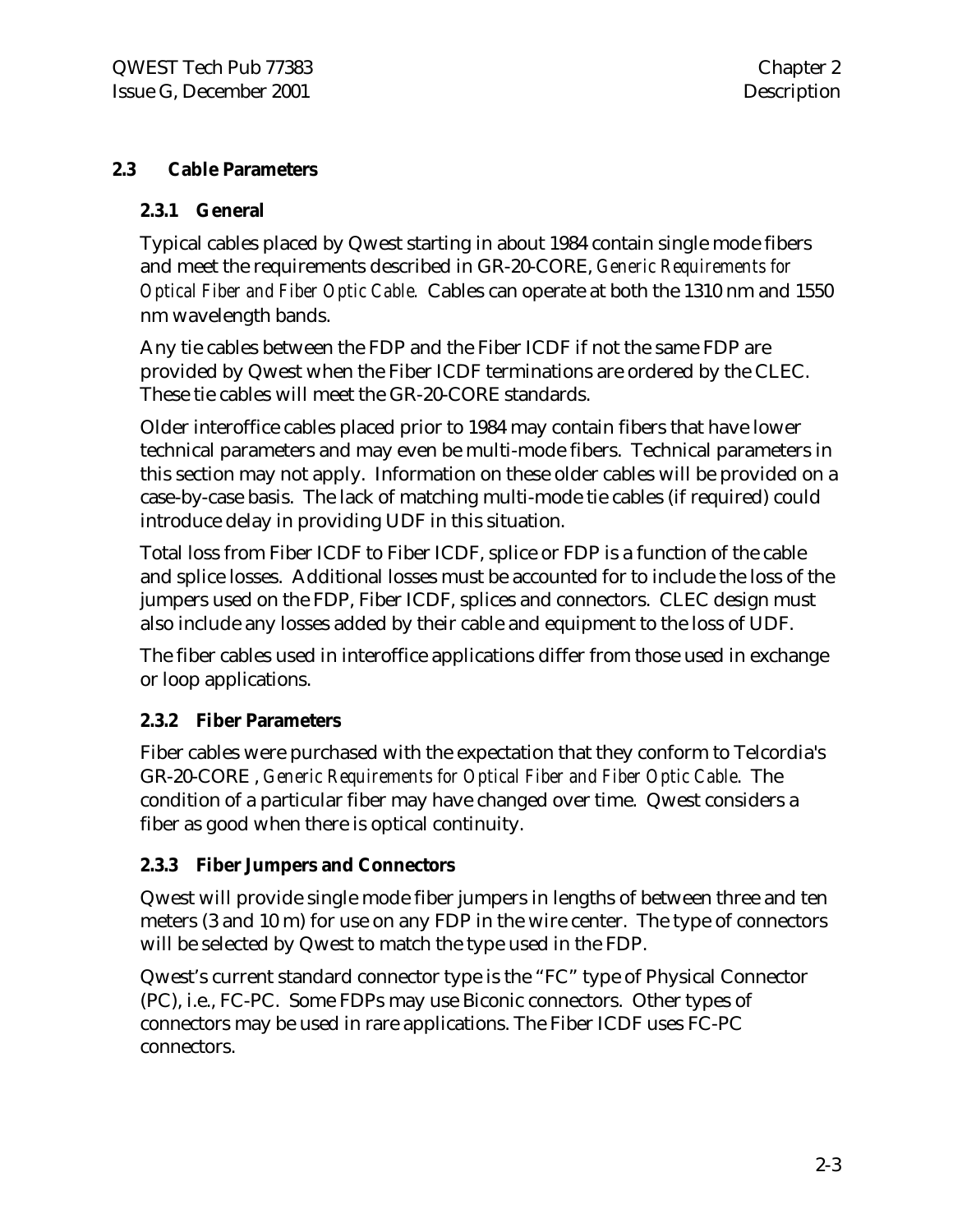#### **2.3 Cable Parameters**

#### **2.3.1 General**

Typical cables placed by Qwest starting in about 1984 contain single mode fibers and meet the requirements described in GR-20-CORE, *Generic Requirements for Optical Fiber and Fiber Optic Cable.* Cables can operate at both the 1310 nm and 1550 nm wavelength bands.

Any tie cables between the FDP and the Fiber ICDF if not the same FDP are provided by Qwest when the Fiber ICDF terminations are ordered by the CLEC. These tie cables will meet the GR-20-CORE standards.

Older interoffice cables placed prior to 1984 may contain fibers that have lower technical parameters and may even be multi-mode fibers. Technical parameters in this section may not apply. Information on these older cables will be provided on a case-by-case basis. The lack of matching multi-mode tie cables (if required) could introduce delay in providing UDF in this situation.

Total loss from Fiber ICDF to Fiber ICDF, splice or FDP is a function of the cable and splice losses. Additional losses must be accounted for to include the loss of the jumpers used on the FDP, Fiber ICDF, splices and connectors. CLEC design must also include any losses added by their cable and equipment to the loss of UDF.

The fiber cables used in interoffice applications differ from those used in exchange or loop applications.

#### **2.3.2 Fiber Parameters**

Fiber cables were purchased with the expectation that they conform to Telcordia's GR-20-CORE , *Generic Requirements for Optical Fiber and Fiber Optic Cable*. The condition of a particular fiber may have changed over time. Qwest considers a fiber as good when there is optical continuity.

#### **2.3.3 Fiber Jumpers and Connectors**

Qwest will provide single mode fiber jumpers in lengths of between three and ten meters (3 and 10 m) for use on any FDP in the wire center. The type of connectors will be selected by Qwest to match the type used in the FDP.

Qwest's current standard connector type is the "FC" type of Physical Connector (PC), i.e., FC-PC. Some FDPs may use Biconic connectors. Other types of connectors may be used in rare applications. The Fiber ICDF uses FC-PC connectors.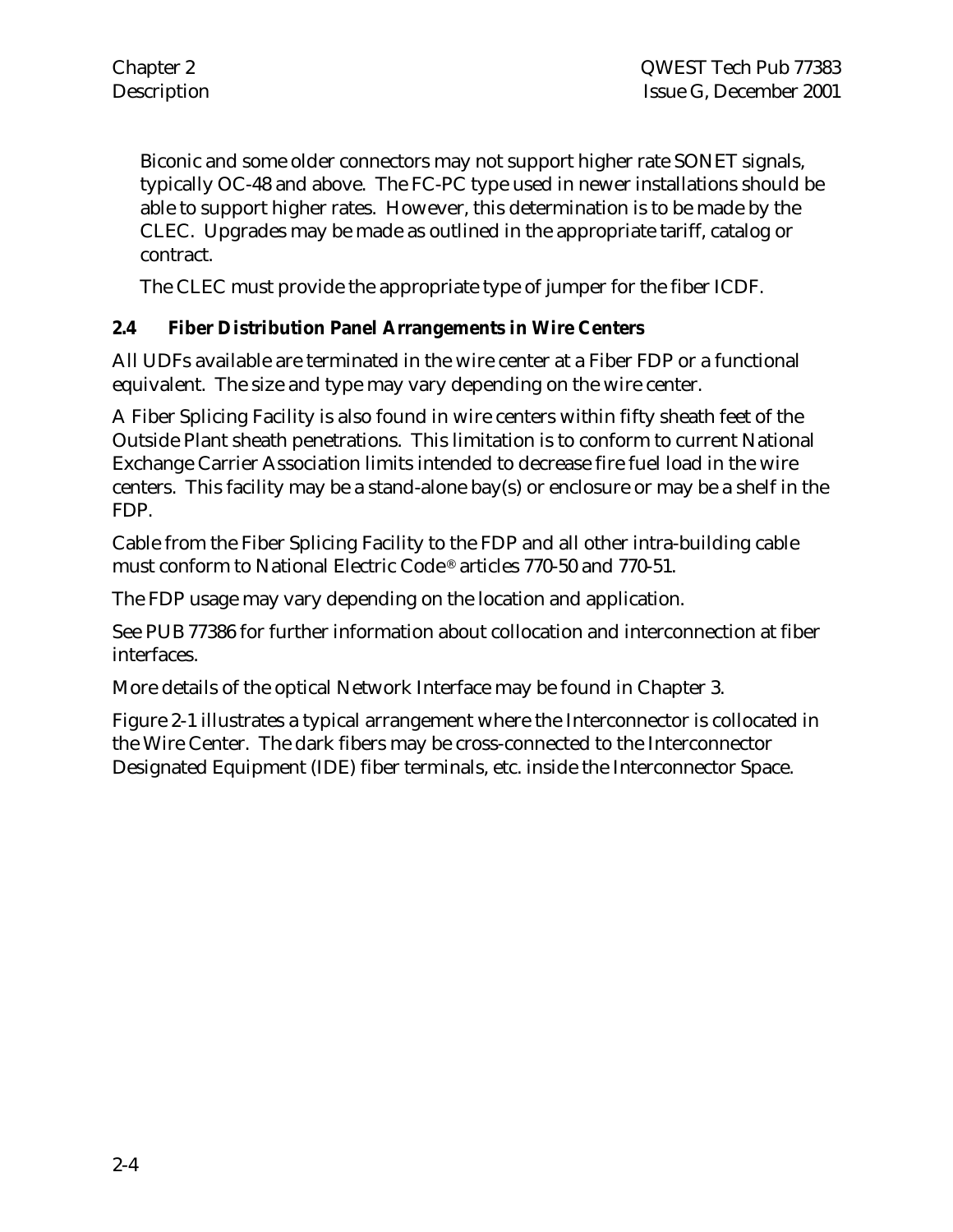Biconic and some older connectors may not support higher rate SONET signals, typically OC-48 and above. The FC-PC type used in newer installations should be able to support higher rates. However, this determination is to be made by the CLEC. Upgrades may be made as outlined in the appropriate tariff, catalog or contract.

The CLEC must provide the appropriate type of jumper for the fiber ICDF.

#### **2.4 Fiber Distribution Panel Arrangements in Wire Centers**

All UDFs available are terminated in the wire center at a Fiber FDP or a functional equivalent. The size and type may vary depending on the wire center.

A Fiber Splicing Facility is also found in wire centers within fifty sheath feet of the Outside Plant sheath penetrations. This limitation is to conform to current National Exchange Carrier Association limits intended to decrease fire fuel load in the wire centers. This facility may be a stand-alone bay(s) or enclosure or may be a shelf in the FDP.

Cable from the Fiber Splicing Facility to the FDP and all other intra-building cable must conform to National Electric Code® articles 770-50 and 770-51.

The FDP usage may vary depending on the location and application.

See PUB 77386 for further information about collocation and interconnection at fiber interfaces.

More details of the optical Network Interface may be found in Chapter 3.

Figure 2-1 illustrates a typical arrangement where the Interconnector is collocated in the Wire Center. The dark fibers may be cross-connected to the Interconnector Designated Equipment (IDE) fiber terminals, etc. inside the Interconnector Space.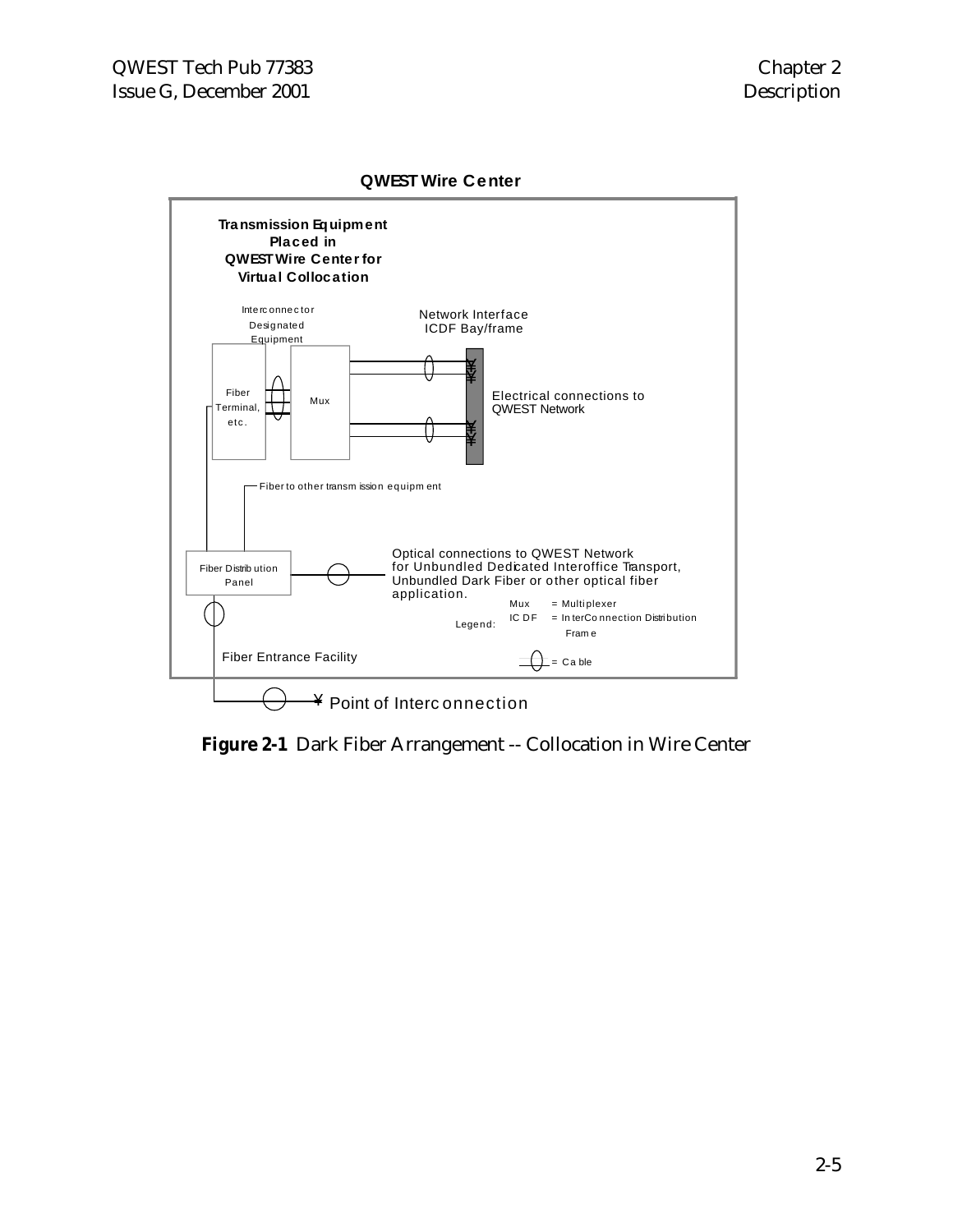#### **QWEST Wire Center**



**Figure 2-1** Dark Fiber Arrangement -- Collocation in Wire Center

#### 2-5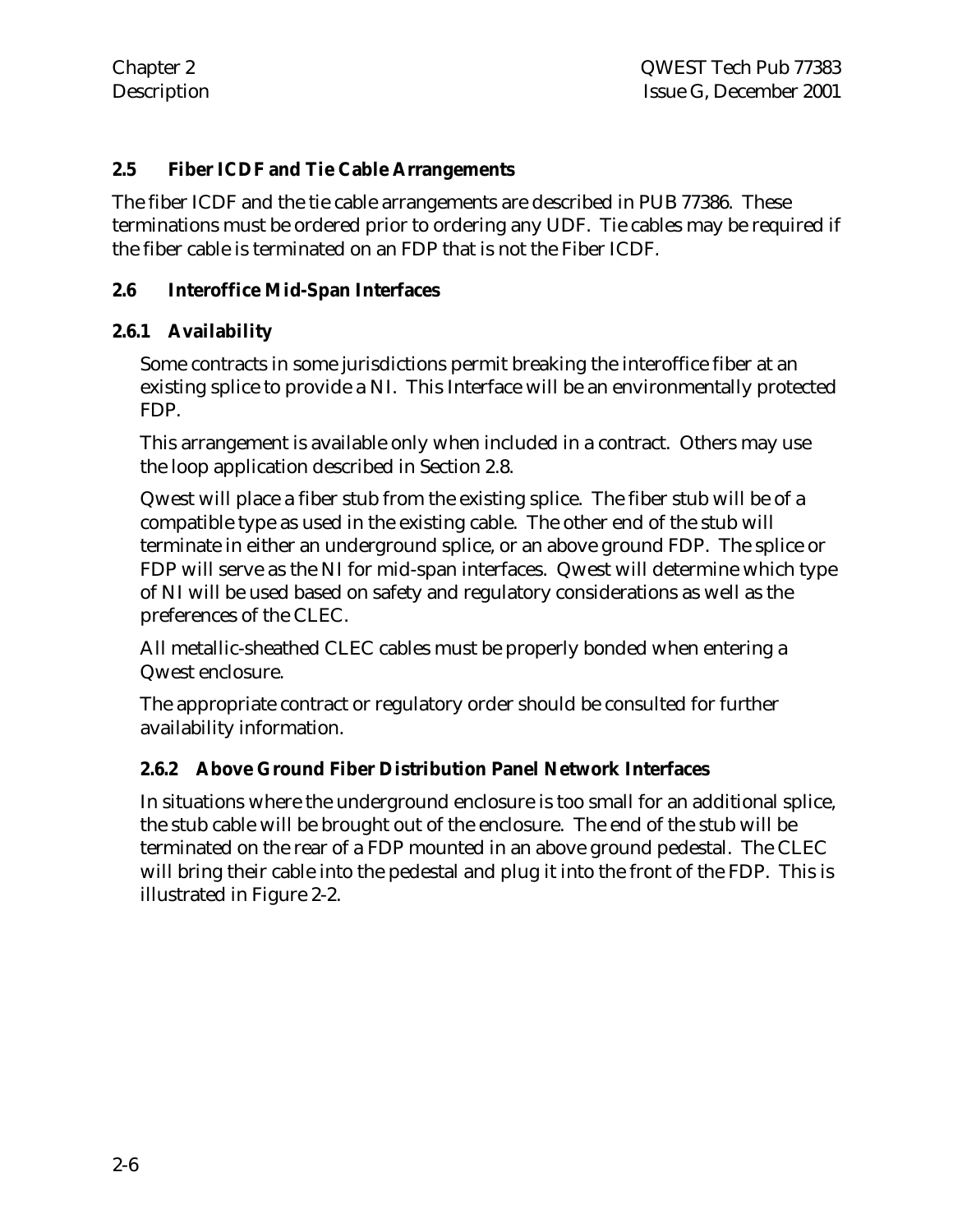#### **2.5 Fiber ICDF and Tie Cable Arrangements**

The fiber ICDF and the tie cable arrangements are described in PUB 77386. These terminations must be ordered prior to ordering any UDF. Tie cables may be required if the fiber cable is terminated on an FDP that is not the Fiber ICDF.

#### **2.6 Interoffice Mid-Span Interfaces**

#### **2.6.1 Availability**

Some contracts in some jurisdictions permit breaking the interoffice fiber at an existing splice to provide a NI. This Interface will be an environmentally protected FDP.

This arrangement is available only when included in a contract. Others may use the loop application described in Section 2.8.

Qwest will place a fiber stub from the existing splice. The fiber stub will be of a compatible type as used in the existing cable. The other end of the stub will terminate in either an underground splice, or an above ground FDP. The splice or FDP will serve as the NI for mid-span interfaces. Qwest will determine which type of NI will be used based on safety and regulatory considerations as well as the preferences of the CLEC.

All metallic-sheathed CLEC cables must be properly bonded when entering a Qwest enclosure.

The appropriate contract or regulatory order should be consulted for further availability information.

#### **2.6.2 Above Ground Fiber Distribution Panel Network Interfaces**

In situations where the underground enclosure is too small for an additional splice, the stub cable will be brought out of the enclosure. The end of the stub will be terminated on the rear of a FDP mounted in an above ground pedestal. The CLEC will bring their cable into the pedestal and plug it into the front of the FDP. This is illustrated in Figure 2-2.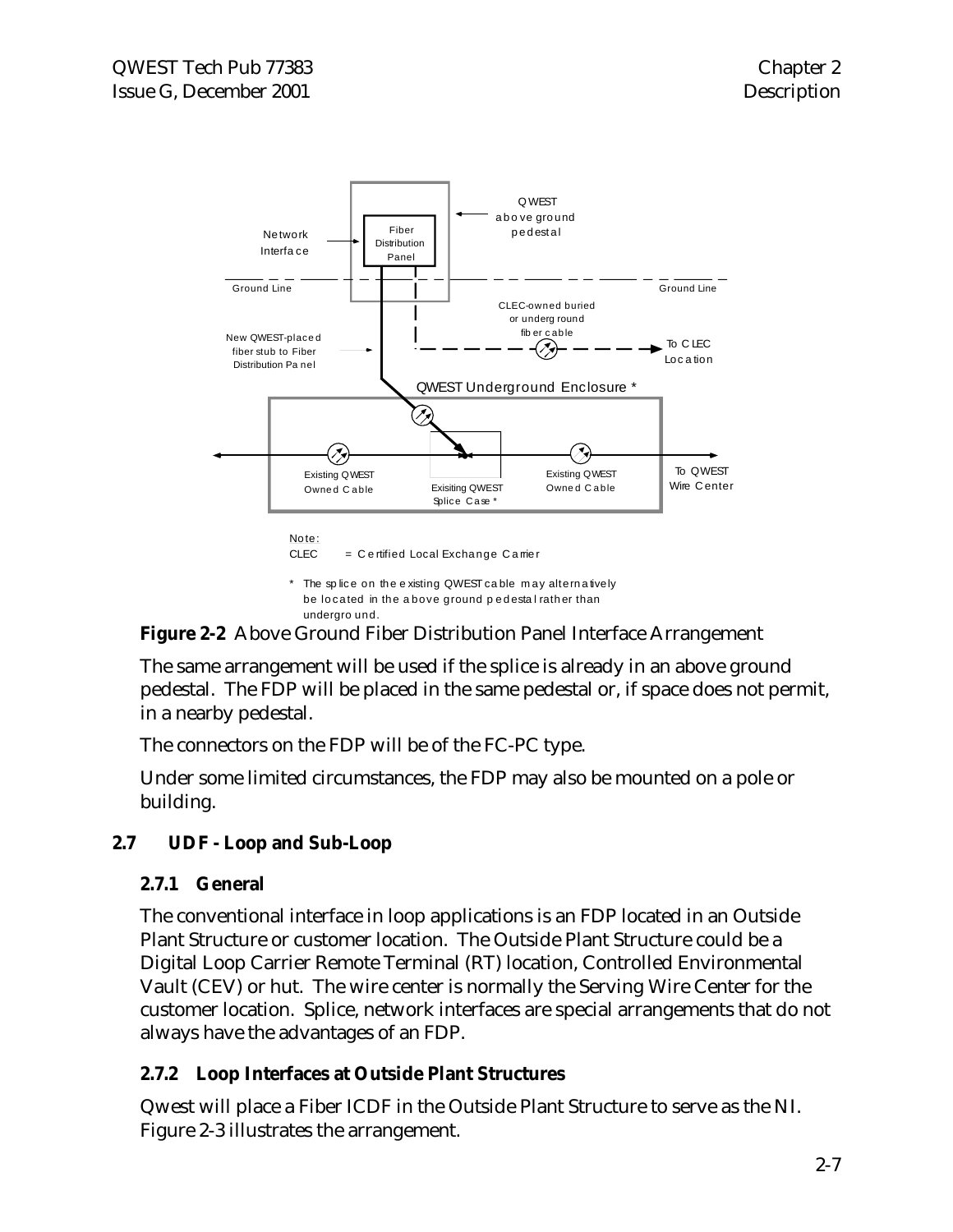

**Figure 2-2** Above Ground Fiber Distribution Panel Interface Arrangement

The same arrangement will be used if the splice is already in an above ground pedestal. The FDP will be placed in the same pedestal or, if space does not permit, in a nearby pedestal.

The connectors on the FDP will be of the FC-PC type.

Under some limited circumstances, the FDP may also be mounted on a pole or building.

#### **2.7 UDF - Loop and Sub-Loop**

#### **2.7.1 General**

The conventional interface in loop applications is an FDP located in an Outside Plant Structure or customer location. The Outside Plant Structure could be a Digital Loop Carrier Remote Terminal (RT) location, Controlled Environmental Vault (CEV) or hut. The wire center is normally the Serving Wire Center for the customer location. Splice, network interfaces are special arrangements that do not always have the advantages of an FDP.

#### **2.7.2 Loop Interfaces at Outside Plant Structures**

Qwest will place a Fiber ICDF in the Outside Plant Structure to serve as the NI. Figure 2-3 illustrates the arrangement.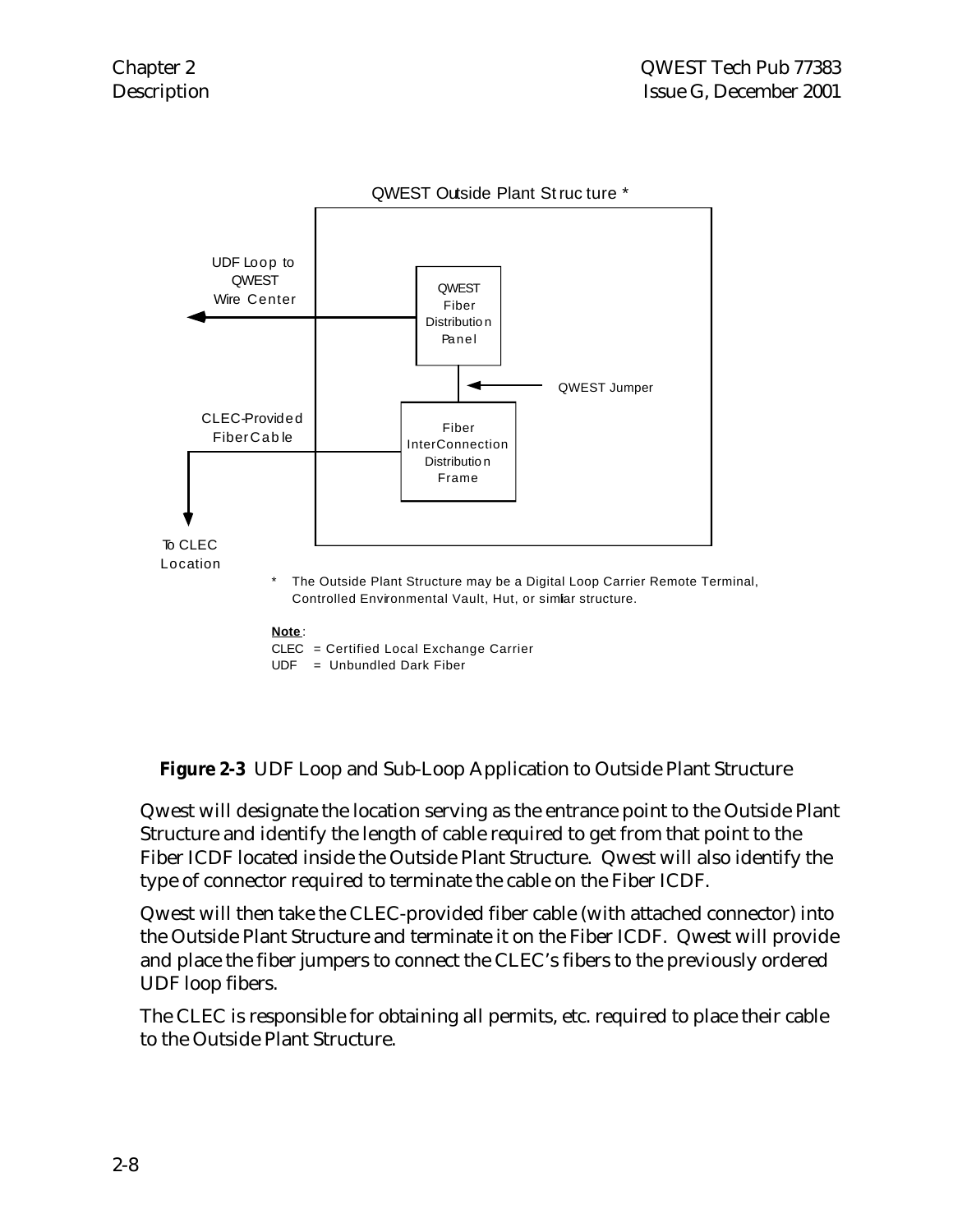

**Figure 2-3** UDF Loop and Sub-Loop Application to Outside Plant Structure

Qwest will designate the location serving as the entrance point to the Outside Plant Structure and identify the length of cable required to get from that point to the Fiber ICDF located inside the Outside Plant Structure. Qwest will also identify the type of connector required to terminate the cable on the Fiber ICDF.

Qwest will then take the CLEC-provided fiber cable (with attached connector) into the Outside Plant Structure and terminate it on the Fiber ICDF. Qwest will provide and place the fiber jumpers to connect the CLEC's fibers to the previously ordered UDF loop fibers.

The CLEC is responsible for obtaining all permits, etc. required to place their cable to the Outside Plant Structure.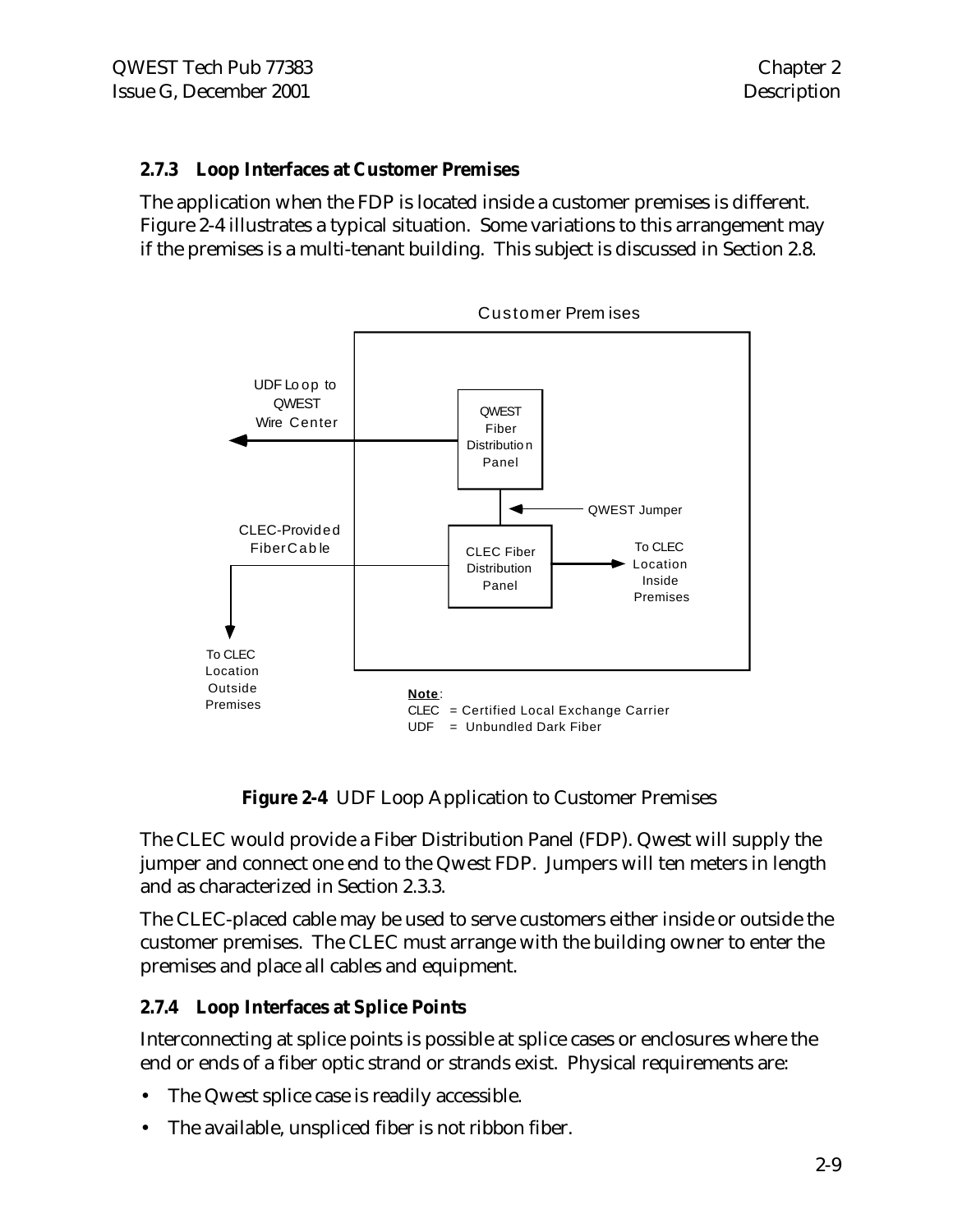#### **2.7.3 Loop Interfaces at Customer Premises**

The application when the FDP is located inside a customer premises is different. Figure 2-4 illustrates a typical situation. Some variations to this arrangement may if the premises is a multi-tenant building. This subject is discussed in Section 2.8.



**Figure 2-4** UDF Loop Application to Customer Premises

The CLEC would provide a Fiber Distribution Panel (FDP). Qwest will supply the jumper and connect one end to the Qwest FDP. Jumpers will ten meters in length and as characterized in Section 2.3.3.

The CLEC-placed cable may be used to serve customers either inside or outside the customer premises. The CLEC must arrange with the building owner to enter the premises and place all cables and equipment.

#### **2.7.4 Loop Interfaces at Splice Points**

Interconnecting at splice points is possible at splice cases or enclosures where the end or ends of a fiber optic strand or strands exist. Physical requirements are:

- The Qwest splice case is readily accessible.
- The available, unspliced fiber is not ribbon fiber.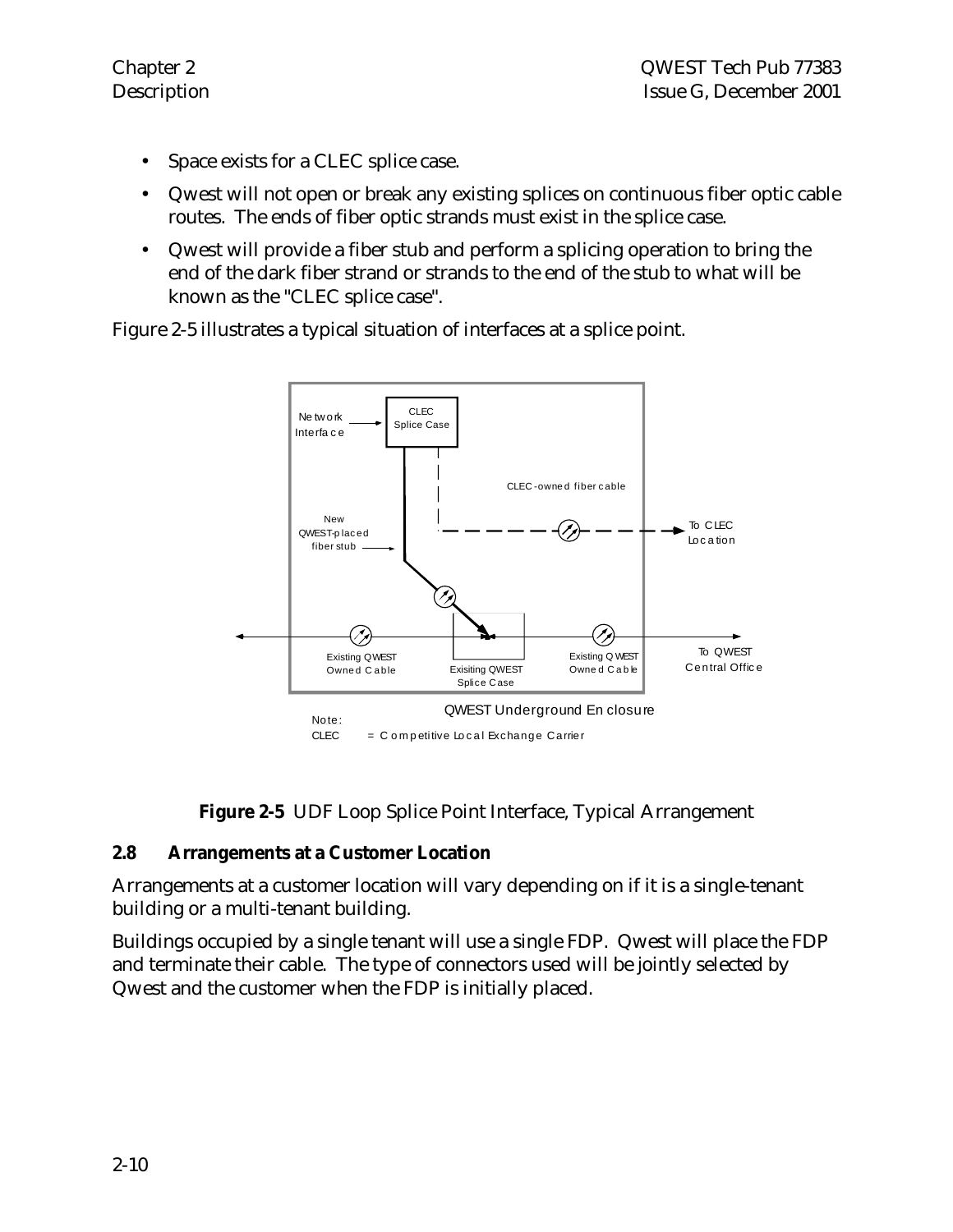- Space exists for a CLEC splice case.
- Qwest will not open or break any existing splices on continuous fiber optic cable routes. The ends of fiber optic strands must exist in the splice case.
- Qwest will provide a fiber stub and perform a splicing operation to bring the end of the dark fiber strand or strands to the end of the stub to what will be known as the "CLEC splice case".

Figure 2-5 illustrates a typical situation of interfaces at a splice point.



**Figure 2-5** UDF Loop Splice Point Interface, Typical Arrangement

#### **2.8 Arrangements at a Customer Location**

Arrangements at a customer location will vary depending on if it is a single-tenant building or a multi-tenant building.

Buildings occupied by a single tenant will use a single FDP. Qwest will place the FDP and terminate their cable. The type of connectors used will be jointly selected by Qwest and the customer when the FDP is initially placed.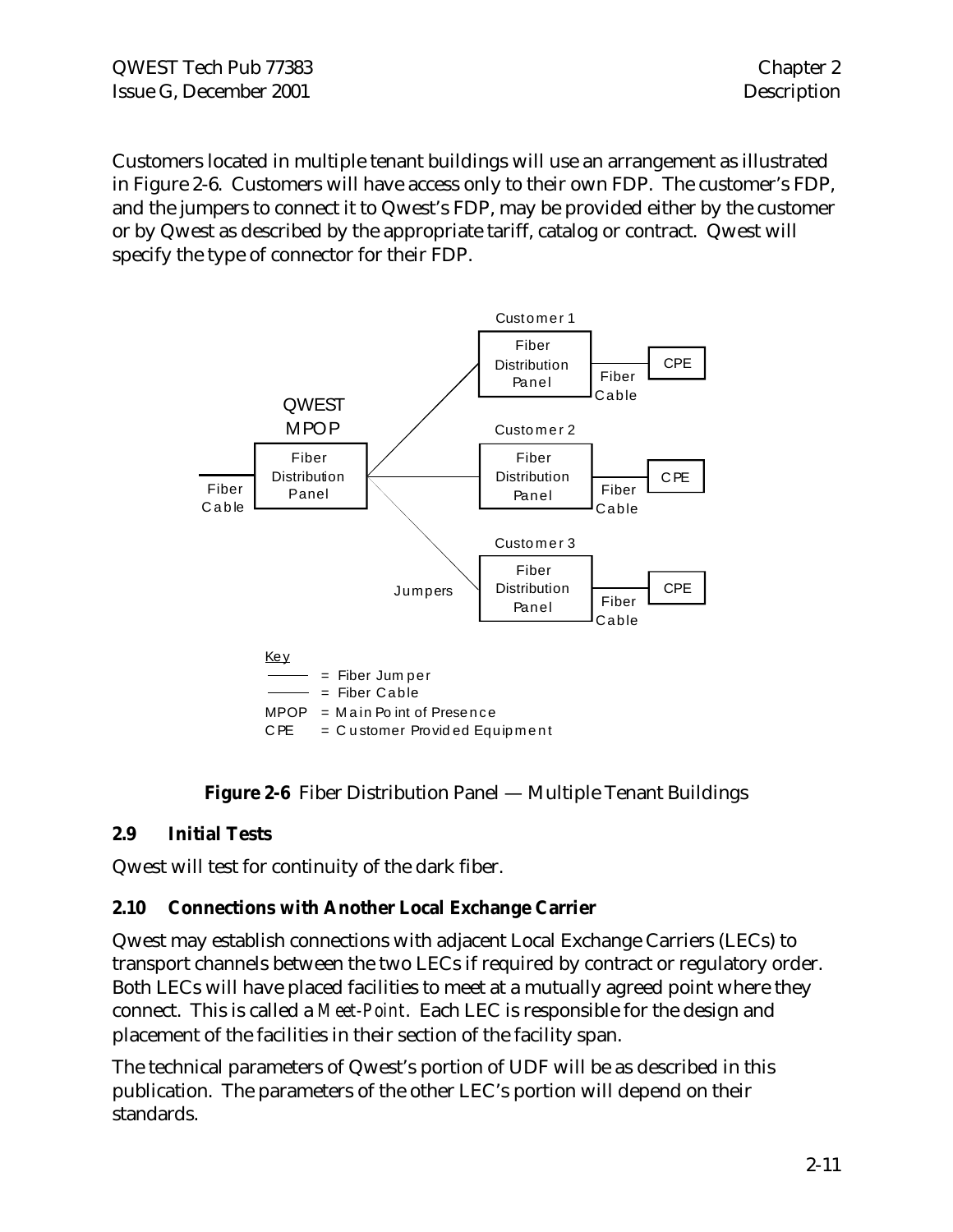Customers located in multiple tenant buildings will use an arrangement as illustrated in Figure 2-6. Customers will have access only to their own FDP. The customer's FDP, and the jumpers to connect it to Qwest's FDP, may be provided either by the customer or by Qwest as described by the appropriate tariff, catalog or contract. Qwest will specify the type of connector for their FDP.



#### **Figure 2-6** Fiber Distribution Panel — Multiple Tenant Buildings

#### **2.9 Initial Tests**

Qwest will test for continuity of the dark fiber.

#### **2.10 Connections with Another Local Exchange Carrier**

Qwest may establish connections with adjacent Local Exchange Carriers (LECs) to transport channels between the two LECs if required by contract or regulatory order. Both LECs will have placed facilities to meet at a mutually agreed point where they connect. This is called a *Meet-Point*. Each LEC is responsible for the design and placement of the facilities in their section of the facility span.

The technical parameters of Qwest's portion of UDF will be as described in this publication. The parameters of the other LEC's portion will depend on their standards.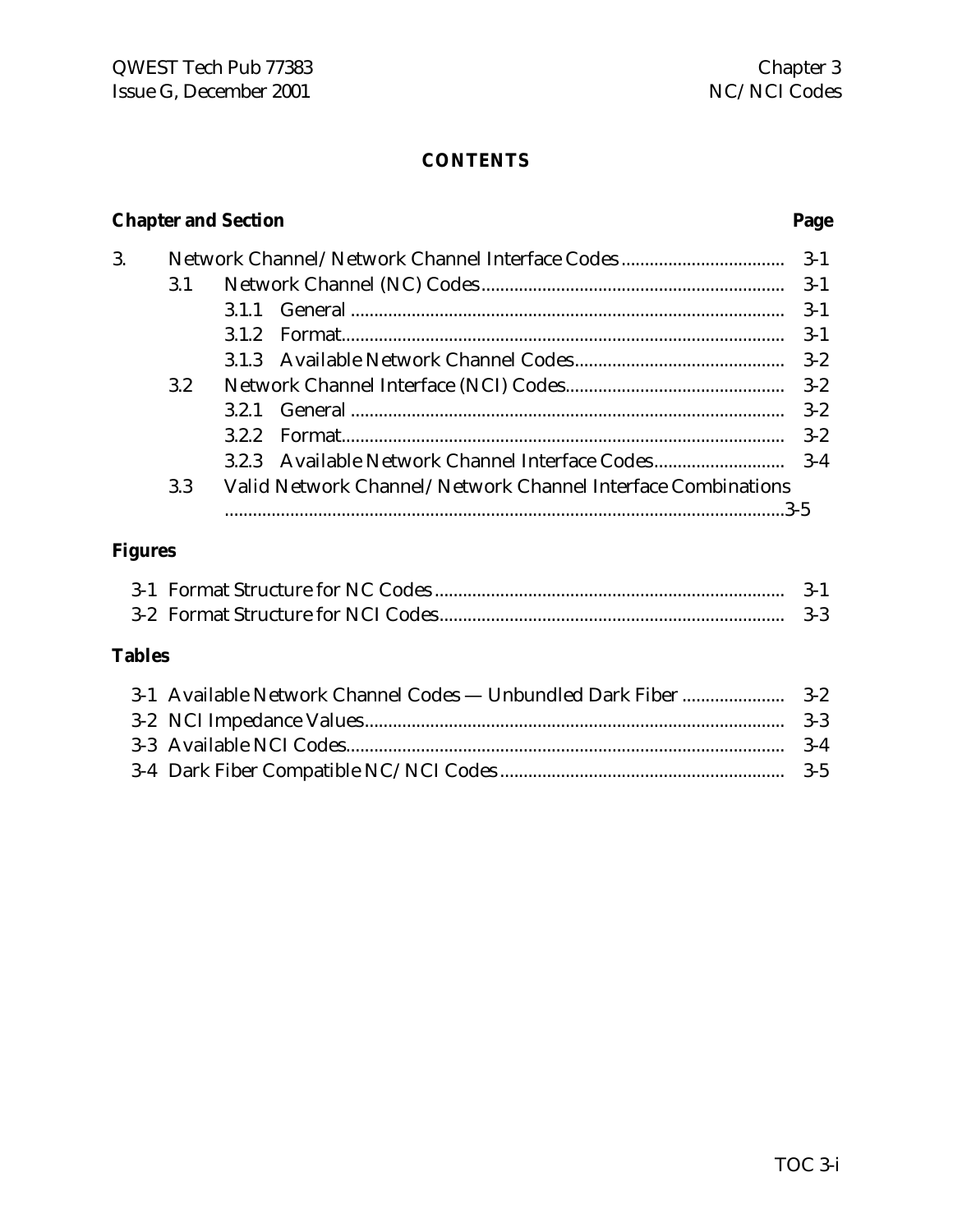#### **CONTENTS**

### **Chapter and Section Page**

|                  |                                                              | $3 - 1$ |
|------------------|--------------------------------------------------------------|---------|
| 3.1              |                                                              | $3 - 1$ |
|                  |                                                              | $3-1$   |
|                  | 312                                                          | $3-1$   |
|                  |                                                              | $3 - 2$ |
| $3.2\phantom{0}$ |                                                              |         |
|                  |                                                              | $3-2$   |
|                  | 322                                                          | $3-2$   |
|                  |                                                              |         |
| 3.3              | Valid Network Channel/Network Channel Interface Combinations |         |
|                  |                                                              |         |
|                  |                                                              |         |

### **Figures**

|  | $3-3$ |
|--|-------|

#### **Tables**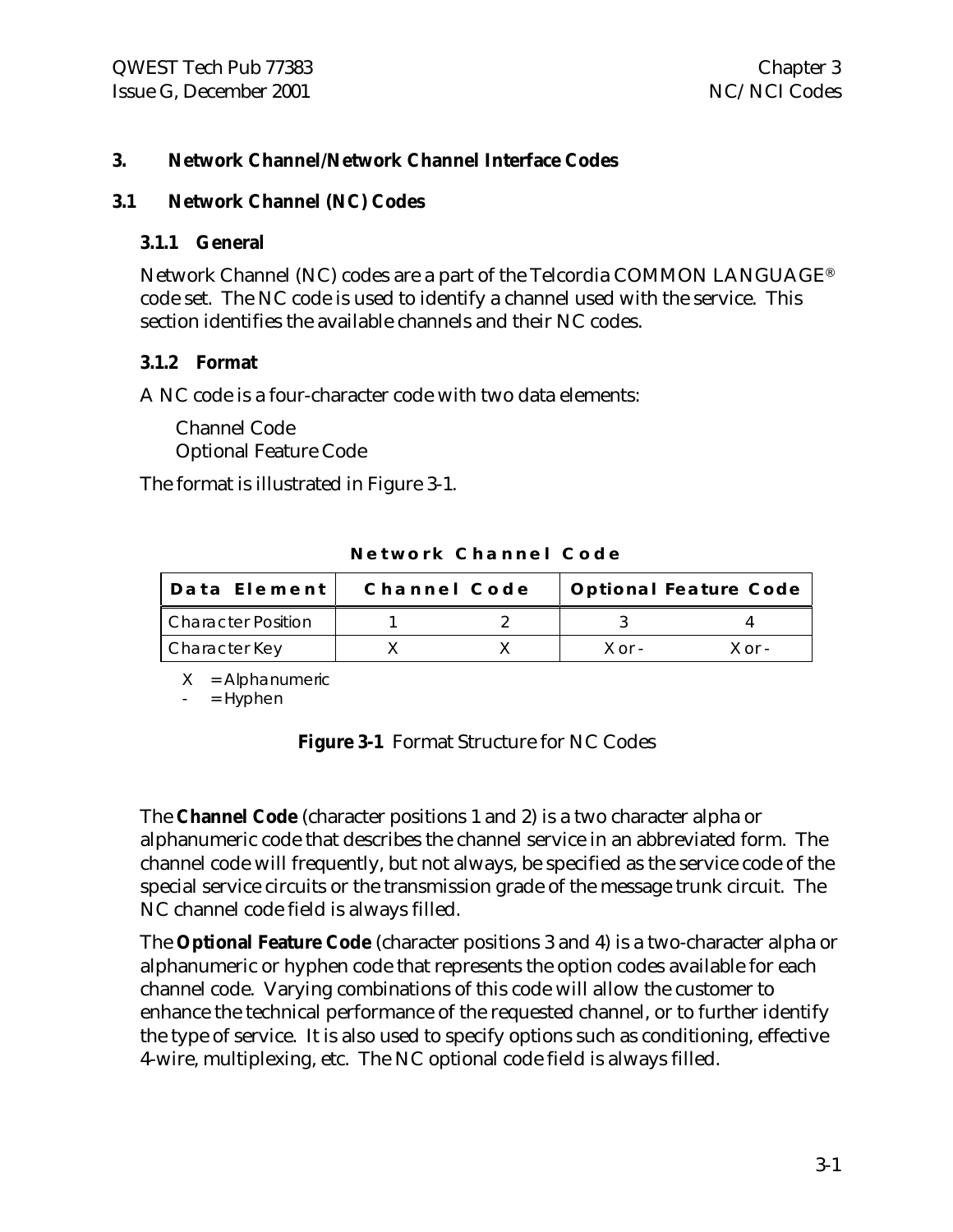#### **3. Network Channel/Network Channel Interface Codes**

#### **3.1 Network Channel (NC) Codes**

#### **3.1.1 General**

Network Channel (NC) codes are a part of the Telcordia COMMON LANGUAGE® code set. The NC code is used to identify a channel used with the service. This section identifies the available channels and their NC codes.

#### **3.1.2 Format**

A NC code is a four-character code with two data elements:

Channel Code Optional Feature Code

The format is illustrated in Figure 3-1.

| Data Element              | Channel Code |            | Optional Feature Code |
|---------------------------|--------------|------------|-----------------------|
| <b>Character Position</b> |              |            |                       |
| Character Key             |              | $X$ or $-$ | $X \cap r -$          |

**Network Channel Code**

 $X =$  Alphanumeric

 $=$  Hyphen

**Figure 3-1** Format Structure for NC Codes

The **Channel Code** (character positions 1 and 2) is a two character alpha or alphanumeric code that describes the channel service in an abbreviated form. The channel code will frequently, but not always, be specified as the service code of the special service circuits or the transmission grade of the message trunk circuit. The NC channel code field is always filled.

The **Optional Feature Code** (character positions 3 and 4) is a two-character alpha or alphanumeric or hyphen code that represents the option codes available for each channel code. Varying combinations of this code will allow the customer to enhance the technical performance of the requested channel, or to further identify the type of service. It is also used to specify options such as conditioning, effective 4-wire, multiplexing, etc. The NC optional code field is always filled.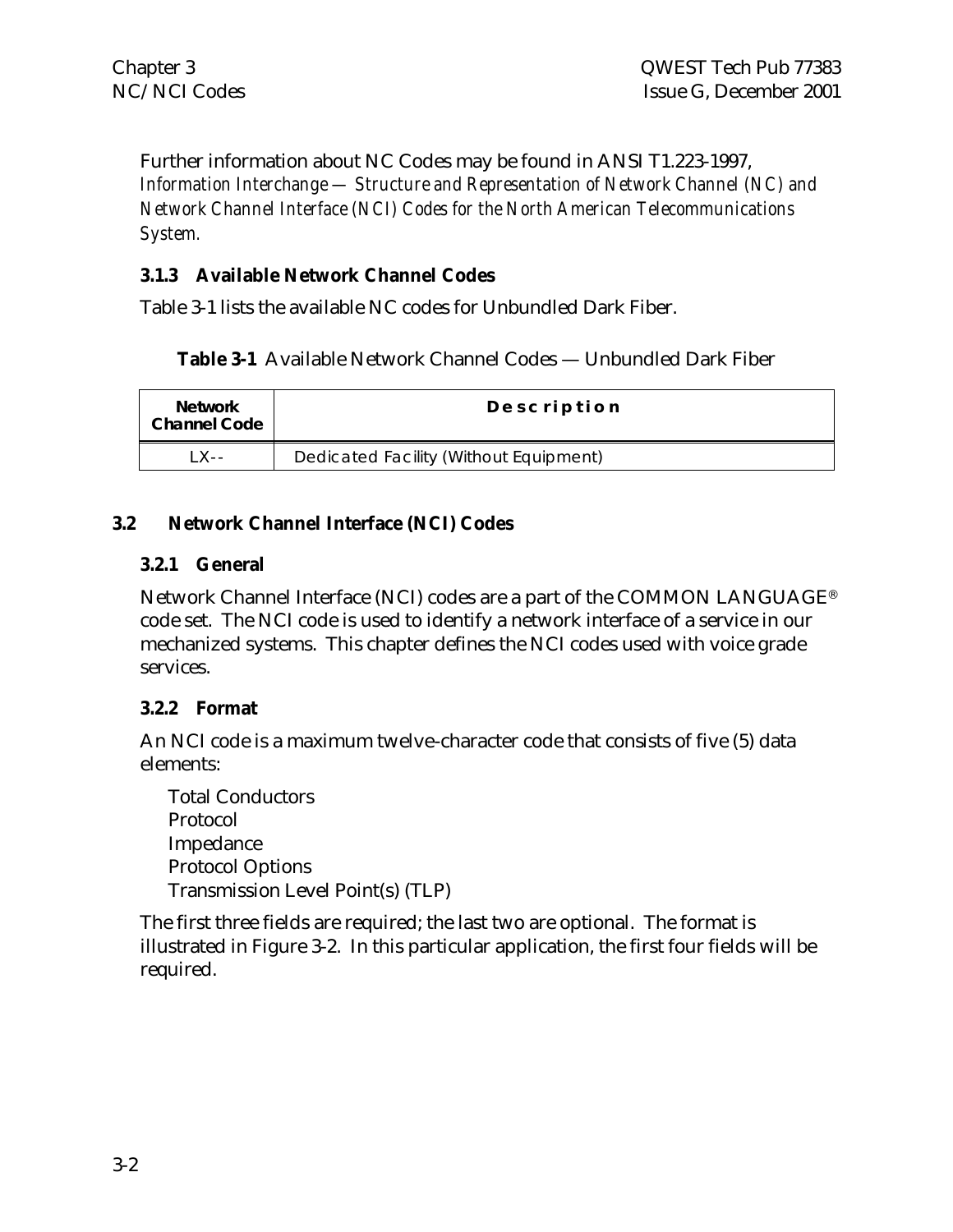Further information about NC Codes may be found in ANSI T1.223-1997, *Information Interchange — Structure and Representation of Network Channel (NC) and Network Channel Interface (NCI) Codes for the North American Telecommunications System.*

#### **3.1.3 Available Network Channel Codes**

Table 3-1 lists the available NC codes for Unbundled Dark Fiber.

**Table 3-1** Available Network Channel Codes — Unbundled Dark Fiber

| <b>Network</b><br><b>Channel Code</b> | Description                            |
|---------------------------------------|----------------------------------------|
| $1 \times -$                          | Dedicated Facility (Without Equipment) |

#### **3.2 Network Channel Interface (NCI) Codes**

#### **3.2.1 General**

Network Channel Interface (NCI) codes are a part of the COMMON LANGUAGE® code set. The NCI code is used to identify a network interface of a service in our mechanized systems. This chapter defines the NCI codes used with voice grade services.

#### **3.2.2 Format**

An NCI code is a maximum twelve-character code that consists of five (5) data elements:

Total Conductors Protocol Impedance Protocol Options Transmission Level Point(s) (TLP)

The first three fields are required; the last two are optional. The format is illustrated in Figure 3-2. In this particular application, the first four fields will be required.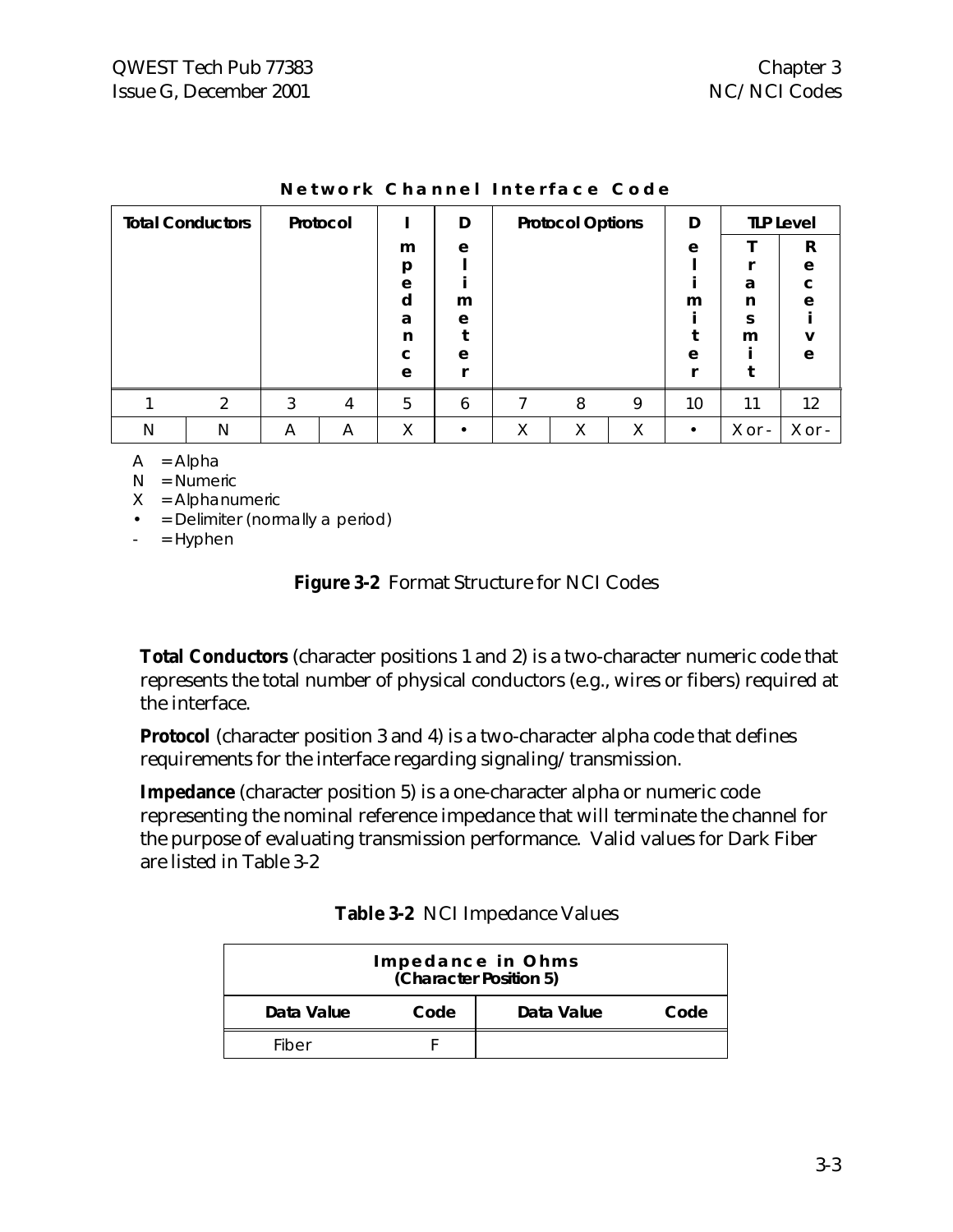|   | <b>Total Conductors</b> | Protocol |   |   | D |   | <b>Protocol Options</b> |   | D         |        | <b>TLP Level</b> |
|---|-------------------------|----------|---|---|---|---|-------------------------|---|-----------|--------|------------------|
|   |                         |          |   | m | e |   |                         |   | e         |        | R                |
|   |                         |          |   | p |   |   |                         |   |           |        | e                |
|   |                         |          |   | e |   |   |                         |   |           | a      | C                |
|   |                         |          |   | d | m |   |                         |   | m         | n      | e                |
|   |                         |          |   | a | e |   |                         |   |           | ς      |                  |
|   |                         |          |   | n |   |   |                         |   |           | m      | v                |
|   |                         |          |   | C | e |   |                         |   | e         |        | e                |
|   |                         |          |   | e |   |   |                         |   |           |        |                  |
|   | າ                       | 3        | 4 | 5 | 6 |   | 8                       | 9 | 10        | 11     | 12               |
| N | N                       | Α        | Α | Χ |   | Χ | Χ                       | X | $\bullet$ | X or - | X or -           |

**Network Channel Interface Code**

 $A = Alpha$ 

N = Numeric

 $X =$  Alphanumeric

• = Delimiter (normally a period)

 $=$  Hyphen

**Figure 3-2** Format Structure for NCI Codes

**Total Conductors** (character positions 1 and 2) is a two-character numeric code that represents the total number of physical conductors (e.g., wires or fibers) required at the interface.

**Protocol** (character position 3 and 4) is a two-character alpha code that defines requirements for the interface regarding signaling/transmission.

**Impedance** (character position 5) is a one-character alpha or numeric code representing the nominal reference impedance that will terminate the channel for the purpose of evaluating transmission performance. Valid values for Dark Fiber are listed in Table 3-2

| Impedance in Ohms<br>(Character Position 5) |      |            |      |  |
|---------------------------------------------|------|------------|------|--|
| Data Value                                  | Code | Data Value | Code |  |
| Fiber                                       |      |            |      |  |

|  | Table 3-2 NCI Impedance Values |  |  |
|--|--------------------------------|--|--|
|  |                                |  |  |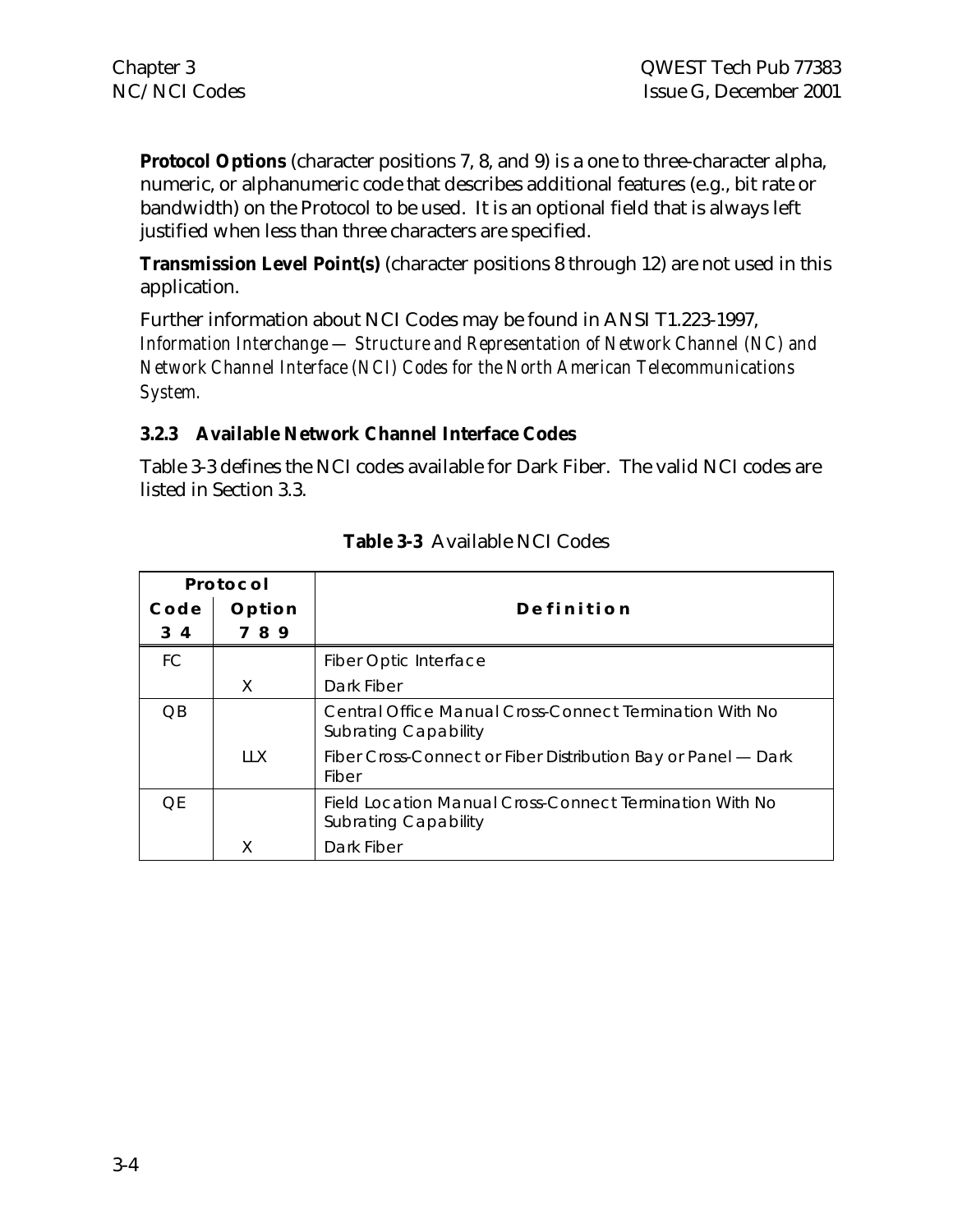**Protocol Options** (character positions 7, 8, and 9) is a one to three-character alpha, numeric, or alphanumeric code that describes additional features (e.g., bit rate or bandwidth) on the Protocol to be used. It is an optional field that is always left justified when less than three characters are specified.

**Transmission Level Point(s)** (character positions 8 through 12) are not used in this application.

Further information about NCI Codes may be found in ANSI T1.223-1997, *Information Interchange — Structure and Representation of Network Channel (NC) and Network Channel Interface (NCI) Codes for the North American Telecommunications System.*

#### **3.2.3 Available Network Channel Interface Codes**

Table 3-3 defines the NCI codes available for Dark Fiber. The valid NCI codes are listed in Section 3.3.

| Protocol  |        |                                                                                        |
|-----------|--------|----------------------------------------------------------------------------------------|
| Code      | Option | Definition                                                                             |
| 3 4       | 789    |                                                                                        |
| <b>FC</b> |        | <b>Fiber Optic Interface</b>                                                           |
|           | X      | Dark Fiber                                                                             |
| OΒ        |        | Central Office Manual Cross-Connect Termination With No<br><b>Subrating Capability</b> |
|           | 11X    | Fiber Cross-Connect or Fiber Distribution Bay or Panel — Dark<br>Fiber                 |
| OF        |        | Field Location Manual Cross-Connect Termination With No<br><b>Subrating Capability</b> |
|           |        | Dark Fiber                                                                             |

#### **Table 3-3** Available NCI Codes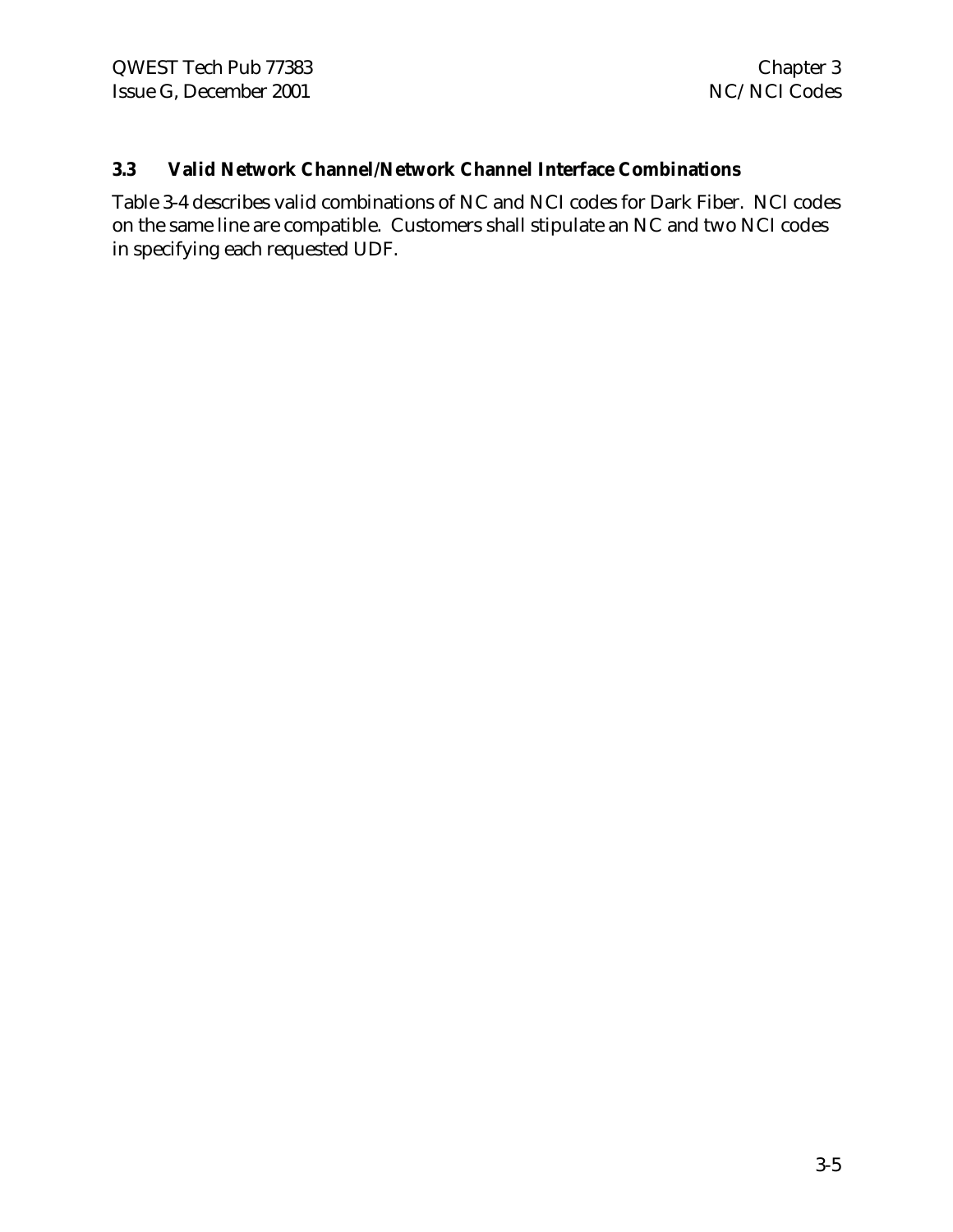#### **3.3 Valid Network Channel/Network Channel Interface Combinations**

Table 3-4 describes valid combinations of NC and NCI codes for Dark Fiber. NCI codes on the same line are compatible. Customers shall stipulate an NC and two NCI codes in specifying each requested UDF.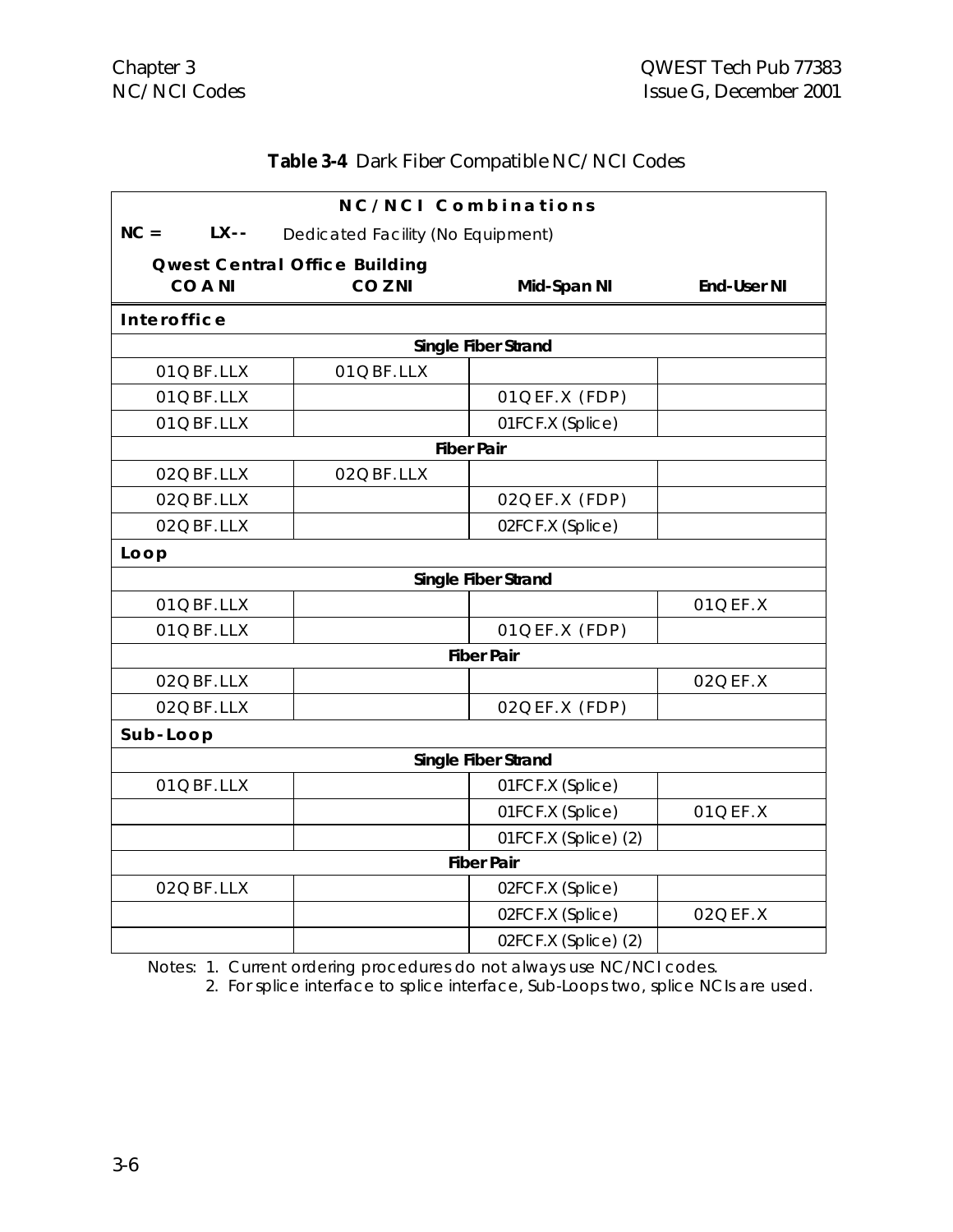#### **Table 3-4** Dark Fiber Compatible NC/NCI Codes

| NC/NCI Combinations |                                      |                      |                    |  |  |  |  |
|---------------------|--------------------------------------|----------------------|--------------------|--|--|--|--|
| $NC =$<br>$LX - -$  | Dedicated Facility (No Equipment)    |                      |                    |  |  |  |  |
|                     | <b>Qwest Central Office Building</b> |                      |                    |  |  |  |  |
| <b>COANI</b>        | CO <sub>ZNI</sub>                    | Mid-Span NI          | <b>End-User NI</b> |  |  |  |  |
| Interoffice         |                                      |                      |                    |  |  |  |  |
|                     |                                      | Single Fiber Strand  |                    |  |  |  |  |
| 01QBF.LLX           | 01QBF.LLX                            |                      |                    |  |  |  |  |
| 01QBF.LLX           |                                      | 01QEF.X (FDP)        |                    |  |  |  |  |
| 01QBF.LLX           |                                      | 01FCF.X (Splice)     |                    |  |  |  |  |
|                     |                                      | <b>Fiber Pair</b>    |                    |  |  |  |  |
| 02QBF.LLX           | 02QBF.LLX                            |                      |                    |  |  |  |  |
| 02QBF.LLX           |                                      | 02QEF.X (FDP)        |                    |  |  |  |  |
| 02QBF.LLX           |                                      | 02FCF.X (Splice)     |                    |  |  |  |  |
| Loop                |                                      |                      |                    |  |  |  |  |
|                     |                                      | Single Fiber Strand  |                    |  |  |  |  |
| 01QBF.LLX           |                                      |                      | 01QEF.X            |  |  |  |  |
| 01QBF.LLX           |                                      | 01QEF.X (FDP)        |                    |  |  |  |  |
|                     |                                      | <b>Fiber Pair</b>    |                    |  |  |  |  |
| 02QBF.LLX           |                                      |                      | 02QEF.X            |  |  |  |  |
| 02QBF.LLX           |                                      | 02QEF.X (FDP)        |                    |  |  |  |  |
| Sub-Loop            |                                      |                      |                    |  |  |  |  |
|                     |                                      | Single Fiber Strand  |                    |  |  |  |  |
| 01QBF.LLX           |                                      | 01FCF.X (Splice)     |                    |  |  |  |  |
|                     |                                      | 01FCF.X (Splice)     | 01QEF.X            |  |  |  |  |
|                     |                                      | 01FCF.X (Splice) (2) |                    |  |  |  |  |
|                     |                                      | <b>Fiber Pair</b>    |                    |  |  |  |  |
| 02QBF.LLX           |                                      | 02FCF.X (Splice)     |                    |  |  |  |  |
|                     |                                      | 02FCF.X (Splice)     | 02QEF.X            |  |  |  |  |
|                     |                                      | 02FCF.X (Splice) (2) |                    |  |  |  |  |

Notes: 1. Current ordering procedures do not always use NC/NCI codes.

2. For splice interface to splice interface, Sub-Loops two, splice NCIs are used.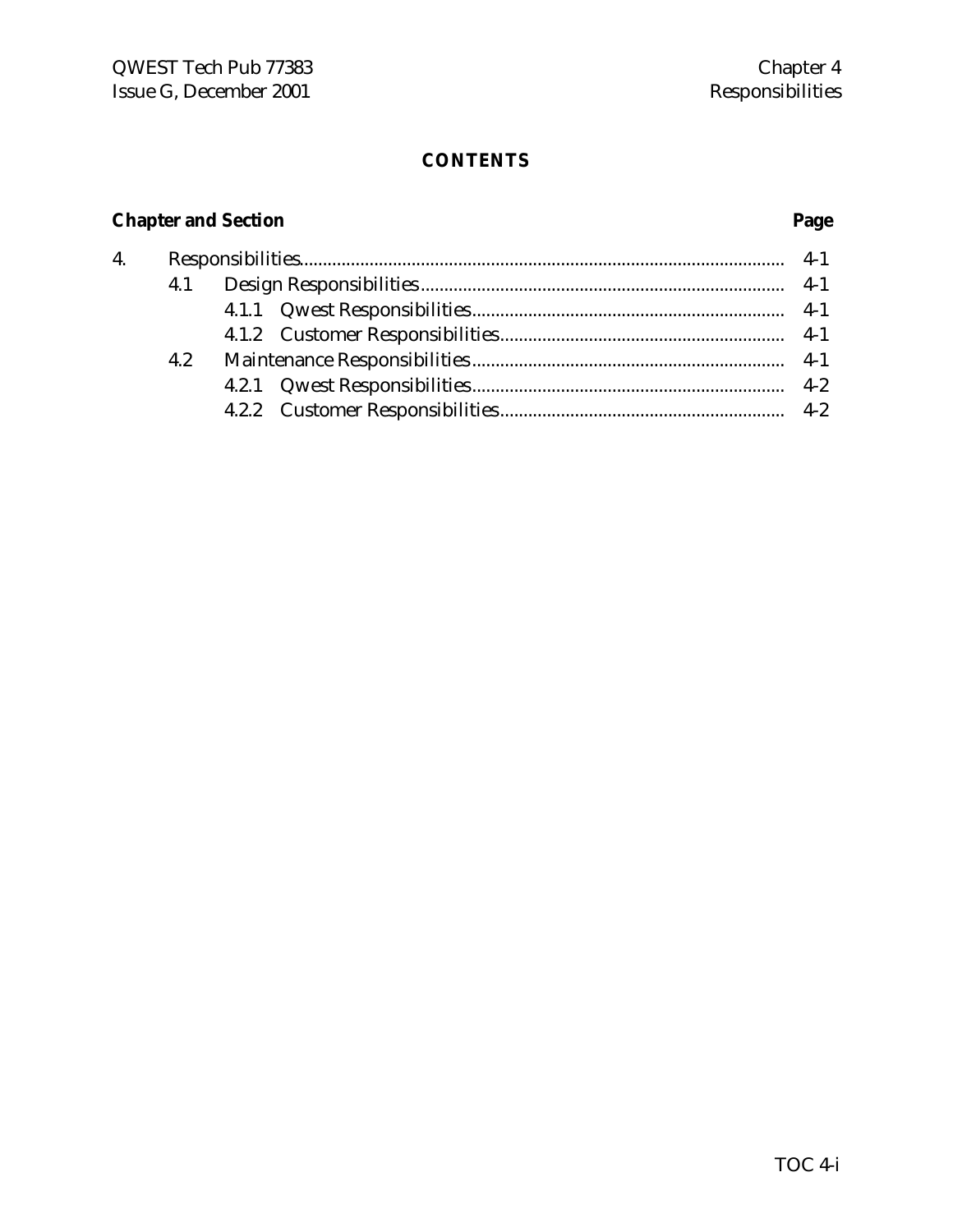### **CONTENTS**

# **Chapter and Section Page**

| 4. |     |  |
|----|-----|--|
|    | 4.1 |  |
|    |     |  |
|    |     |  |
|    | 4.2 |  |
|    |     |  |
|    |     |  |
|    |     |  |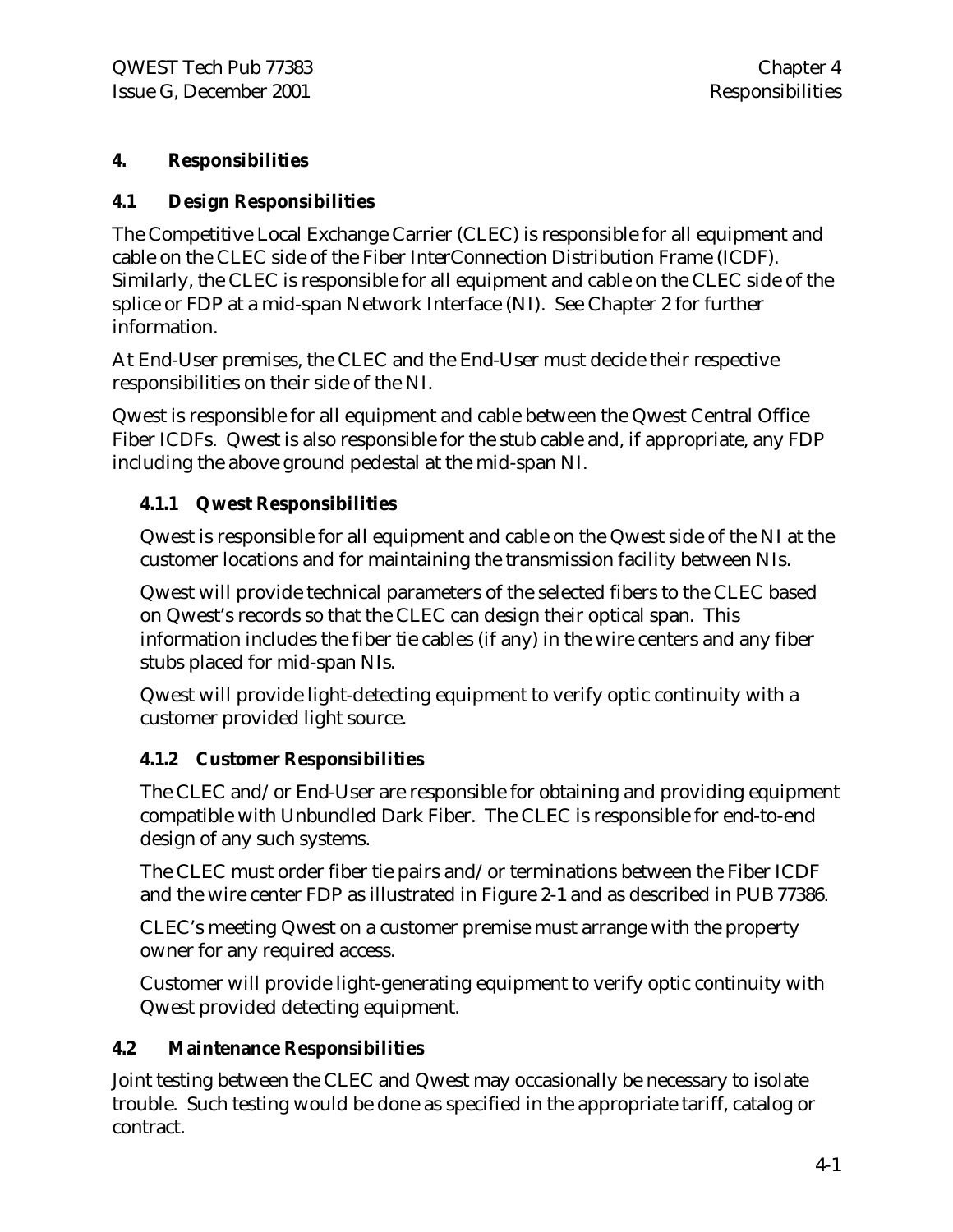#### **4. Responsibilities**

#### **4.1 Design Responsibilities**

The Competitive Local Exchange Carrier (CLEC) is responsible for all equipment and cable on the CLEC side of the Fiber InterConnection Distribution Frame (ICDF). Similarly, the CLEC is responsible for all equipment and cable on the CLEC side of the splice or FDP at a mid-span Network Interface (NI). See Chapter 2 for further information.

At End-User premises, the CLEC and the End-User must decide their respective responsibilities on their side of the NI.

Qwest is responsible for all equipment and cable between the Qwest Central Office Fiber ICDFs. Qwest is also responsible for the stub cable and, if appropriate, any FDP including the above ground pedestal at the mid-span NI.

#### **4.1.1 Qwest Responsibilities**

Qwest is responsible for all equipment and cable on the Qwest side of the NI at the customer locations and for maintaining the transmission facility between NIs.

Qwest will provide technical parameters of the selected fibers to the CLEC based on Qwest's records so that the CLEC can design their optical span. This information includes the fiber tie cables (if any) in the wire centers and any fiber stubs placed for mid-span NIs.

Qwest will provide light-detecting equipment to verify optic continuity with a customer provided light source.

#### **4.1.2 Customer Responsibilities**

The CLEC and/or End-User are responsible for obtaining and providing equipment compatible with Unbundled Dark Fiber. The CLEC is responsible for end-to-end design of any such systems.

The CLEC must order fiber tie pairs and/or terminations between the Fiber ICDF and the wire center FDP as illustrated in Figure 2-1 and as described in PUB 77386.

CLEC's meeting Qwest on a customer premise must arrange with the property owner for any required access.

Customer will provide light-generating equipment to verify optic continuity with Qwest provided detecting equipment.

#### **4.2 Maintenance Responsibilities**

Joint testing between the CLEC and Qwest may occasionally be necessary to isolate trouble. Such testing would be done as specified in the appropriate tariff, catalog or contract.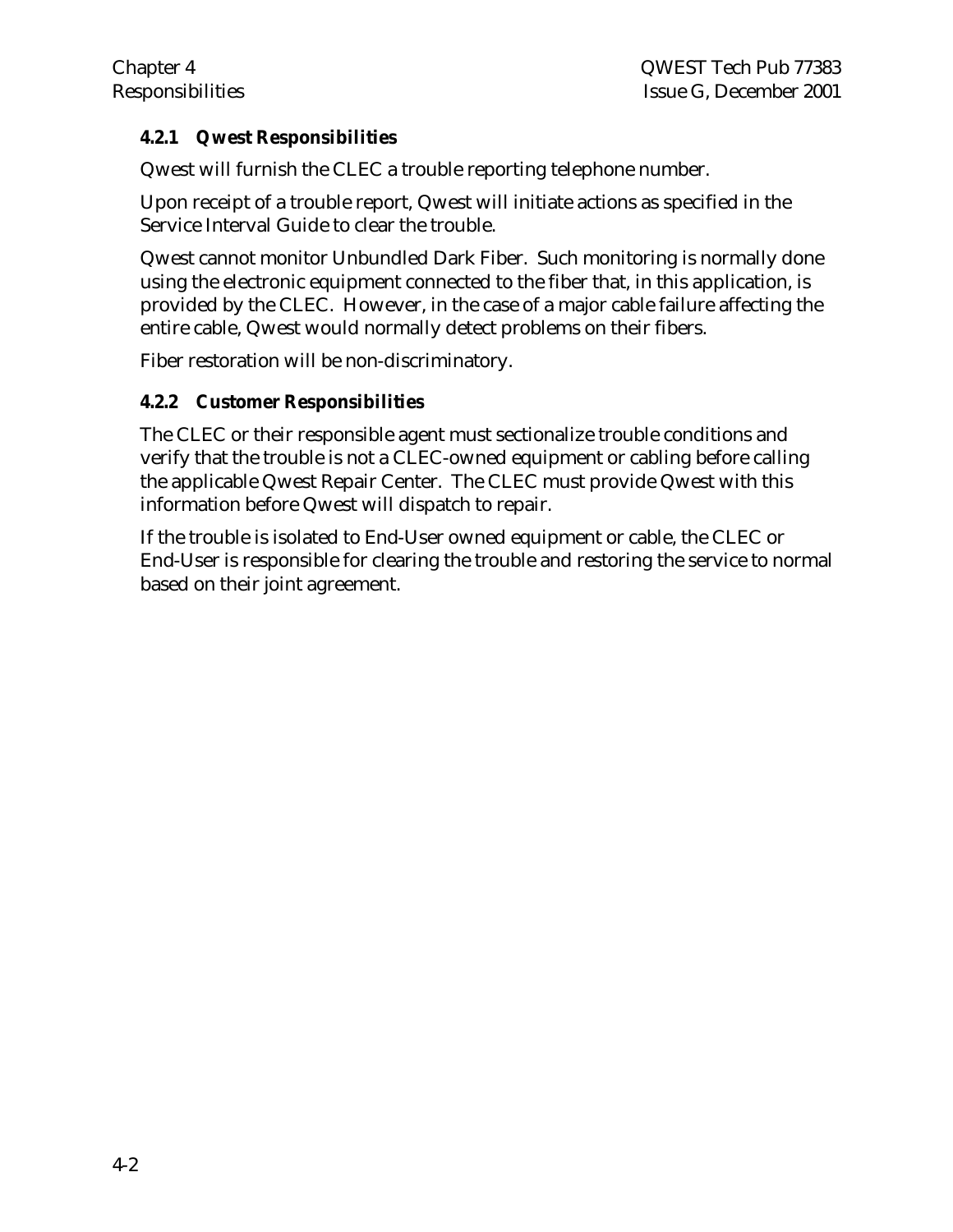#### **4.2.1 Qwest Responsibilities**

Qwest will furnish the CLEC a trouble reporting telephone number.

Upon receipt of a trouble report, Qwest will initiate actions as specified in the Service Interval Guide to clear the trouble.

Qwest cannot monitor Unbundled Dark Fiber. Such monitoring is normally done using the electronic equipment connected to the fiber that, in this application, is provided by the CLEC. However, in the case of a major cable failure affecting the entire cable, Qwest would normally detect problems on their fibers.

Fiber restoration will be non-discriminatory.

#### **4.2.2 Customer Responsibilities**

The CLEC or their responsible agent must sectionalize trouble conditions and verify that the trouble is not a CLEC-owned equipment or cabling before calling the applicable Qwest Repair Center. The CLEC must provide Qwest with this information before Qwest will dispatch to repair.

If the trouble is isolated to End-User owned equipment or cable, the CLEC or End-User is responsible for clearing the trouble and restoring the service to normal based on their joint agreement.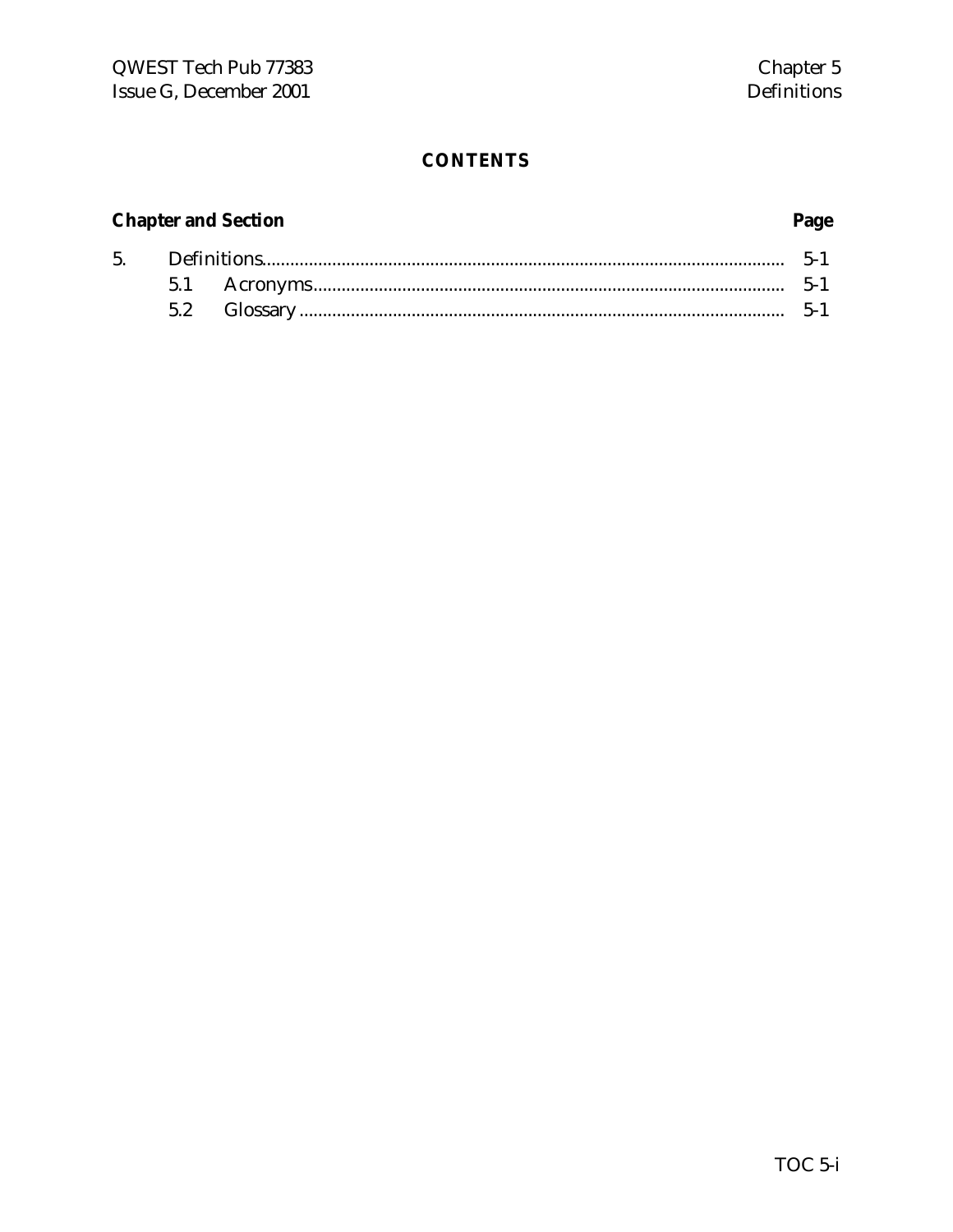#### **CONTENTS**

#### **Chapter and Section**

#### 5.  $\label{eq:3} \textbf{Definitions} \textbf{.} \textbf{...} \textbf{.} \textbf{...} \textbf{.} \textbf{...} \textbf{.} \textbf{...} \textbf{.} \textbf{...} \textbf{.} \textbf{...} \textbf{.} \textbf{...} \textbf{.} \textbf{...} \textbf{.} \textbf{...} \textbf{.} \textbf{...} \textbf{.} \textbf{...} \textbf{.} \textbf{...} \textbf{.} \textbf{...} \textbf{.} \textbf{...} \textbf{.} \textbf{...} \textbf{.} \textbf{...} \textbf{.} \textbf{...} \textbf$  $5-1$ 5.1 5.2

#### Page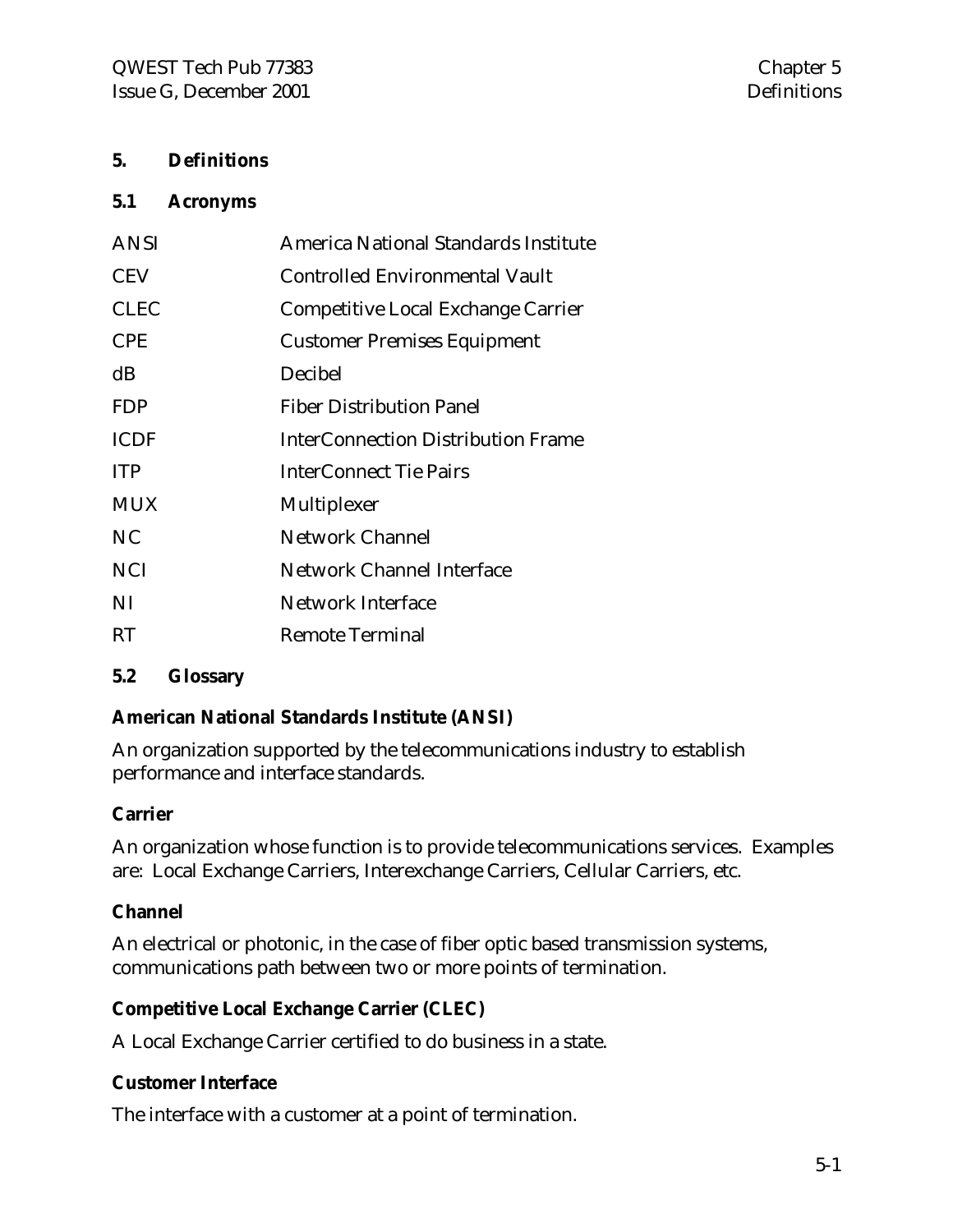#### **5. Definitions**

#### **5.1 Acronyms**

| <b>ANSI</b> | America National Standards Institute      |
|-------------|-------------------------------------------|
| <b>CEV</b>  | <b>Controlled Environmental Vault</b>     |
| <b>CLEC</b> | Competitive Local Exchange Carrier        |
| <b>CPE</b>  | <b>Customer Premises Equipment</b>        |
| dB          | Decibel                                   |
| <b>FDP</b>  | <b>Fiber Distribution Panel</b>           |
| <b>ICDF</b> | <b>InterConnection Distribution Frame</b> |
| <b>ITP</b>  | <b>InterConnect Tie Pairs</b>             |
| <b>MUX</b>  | Multiplexer                               |
| NC          | <b>Network Channel</b>                    |
| <b>NCI</b>  | <b>Network Channel Interface</b>          |
| NI          | <b>Network Interface</b>                  |
| <b>RT</b>   | <b>Remote Terminal</b>                    |

#### **5.2 Glossary**

#### **American National Standards Institute (ANSI)**

An organization supported by the telecommunications industry to establish performance and interface standards.

#### **Carrier**

An organization whose function is to provide telecommunications services. Examples are: Local Exchange Carriers, Interexchange Carriers, Cellular Carriers, etc.

#### **Channel**

An electrical or photonic, in the case of fiber optic based transmission systems, communications path between two or more points of termination.

#### **Competitive Local Exchange Carrier (CLEC)**

A Local Exchange Carrier certified to do business in a state.

#### **Customer Interface**

The interface with a customer at a point of termination.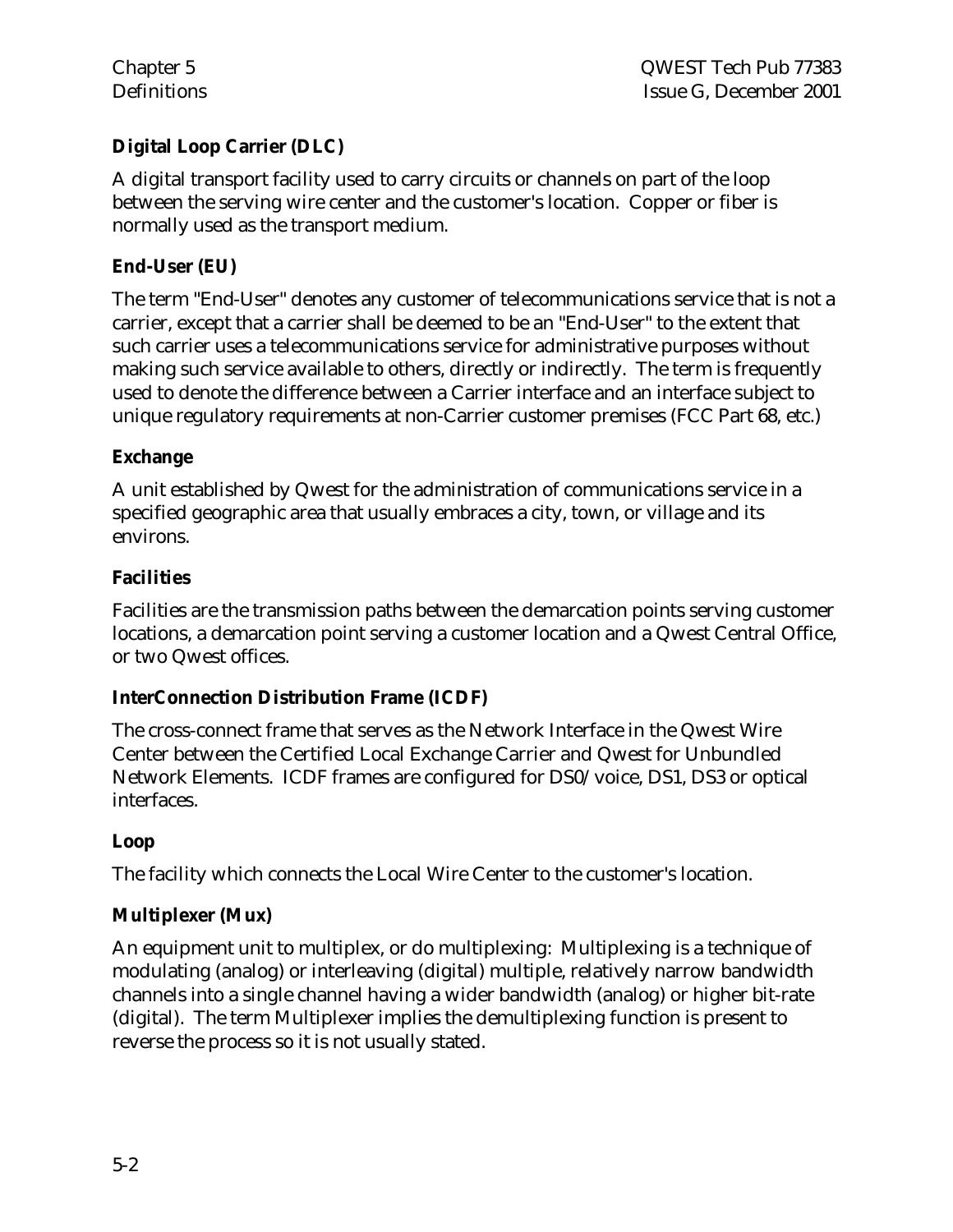#### **Digital Loop Carrier (DLC)**

A digital transport facility used to carry circuits or channels on part of the loop between the serving wire center and the customer's location. Copper or fiber is normally used as the transport medium.

#### **End-User (EU)**

The term "End-User" denotes any customer of telecommunications service that is not a carrier, except that a carrier shall be deemed to be an "End-User" to the extent that such carrier uses a telecommunications service for administrative purposes without making such service available to others, directly or indirectly. The term is frequently used to denote the difference between a Carrier interface and an interface subject to unique regulatory requirements at non-Carrier customer premises (FCC Part 68, etc.)

#### **Exchange**

A unit established by Qwest for the administration of communications service in a specified geographic area that usually embraces a city, town, or village and its environs.

#### **Facilities**

Facilities are the transmission paths between the demarcation points serving customer locations, a demarcation point serving a customer location and a Qwest Central Office, or two Qwest offices.

#### **InterConnection Distribution Frame (ICDF)**

The cross-connect frame that serves as the Network Interface in the Qwest Wire Center between the Certified Local Exchange Carrier and Qwest for Unbundled Network Elements. ICDF frames are configured for DS0/voice, DS1, DS3 or optical interfaces.

#### **Loop**

The facility which connects the Local Wire Center to the customer's location.

#### **Multiplexer (Mux)**

An equipment unit to multiplex, or do multiplexing: Multiplexing is a technique of modulating (analog) or interleaving (digital) multiple, relatively narrow bandwidth channels into a single channel having a wider bandwidth (analog) or higher bit-rate (digital). The term Multiplexer implies the demultiplexing function is present to reverse the process so it is not usually stated.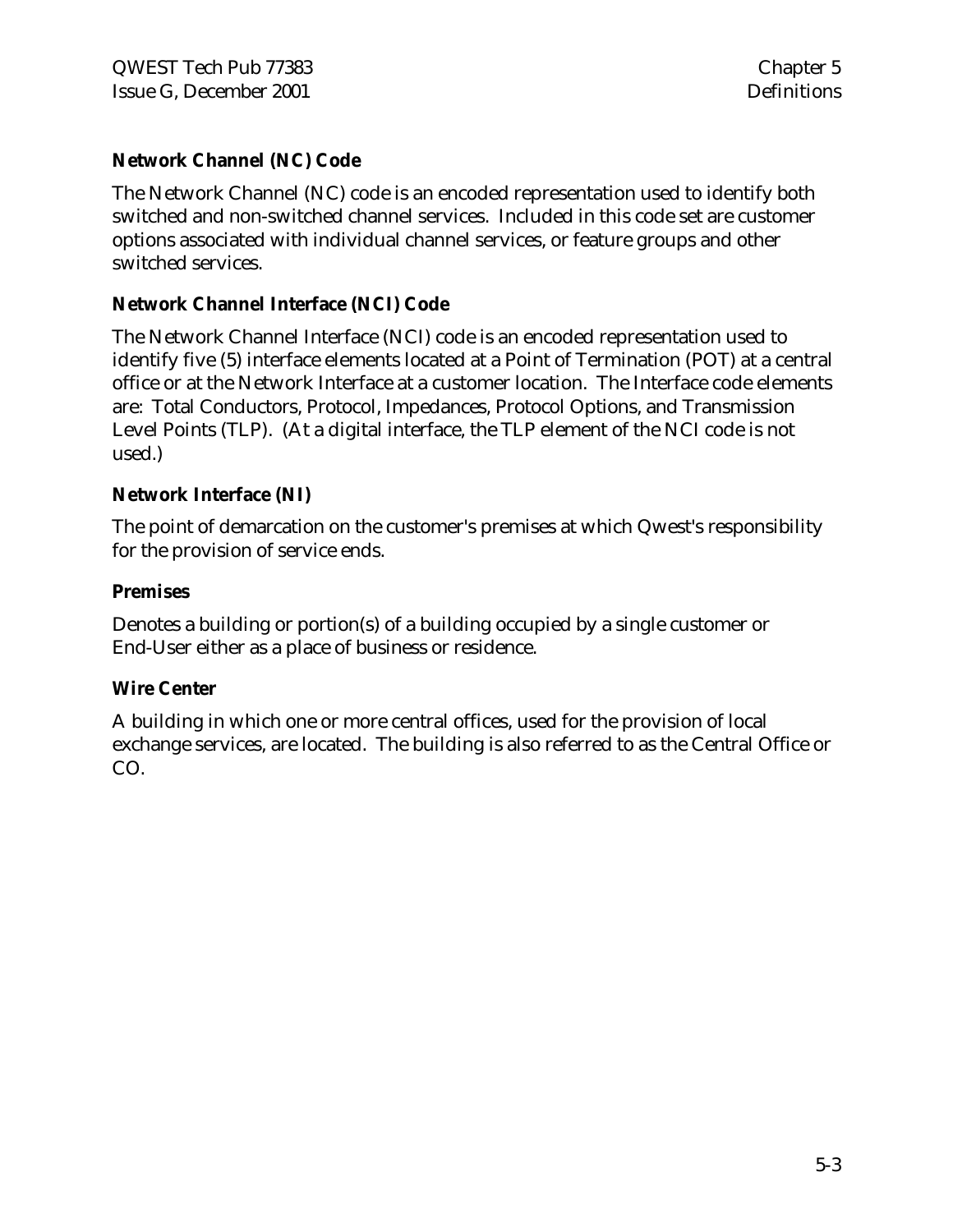#### **Network Channel (NC) Code**

The Network Channel (NC) code is an encoded representation used to identify both switched and non-switched channel services. Included in this code set are customer options associated with individual channel services, or feature groups and other switched services.

#### **Network Channel Interface (NCI) Code**

The Network Channel Interface (NCI) code is an encoded representation used to identify five (5) interface elements located at a Point of Termination (POT) at a central office or at the Network Interface at a customer location. The Interface code elements are: Total Conductors, Protocol, Impedances, Protocol Options, and Transmission Level Points (TLP). (At a digital interface, the TLP element of the NCI code is not used.)

#### **Network Interface (NI)**

The point of demarcation on the customer's premises at which Qwest's responsibility for the provision of service ends.

#### **Premises**

Denotes a building or portion(s) of a building occupied by a single customer or End-User either as a place of business or residence.

#### **Wire Center**

A building in which one or more central offices, used for the provision of local exchange services, are located. The building is also referred to as the Central Office or CO.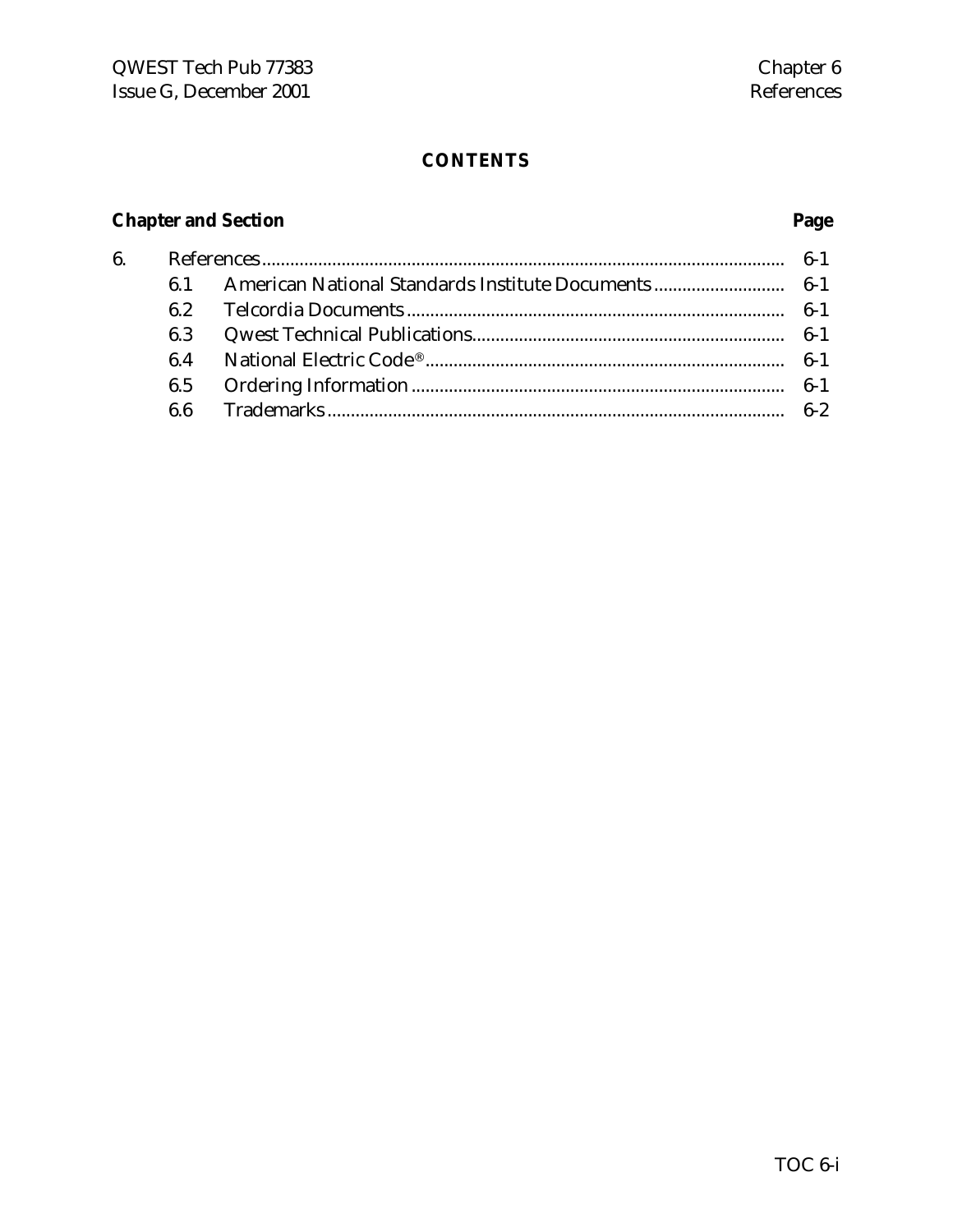### **CONTENTS**

# **Chapter and Section Page**

| 6. |     |  |
|----|-----|--|
|    |     |  |
|    |     |  |
|    | 6.3 |  |
|    |     |  |
|    |     |  |
|    |     |  |
|    |     |  |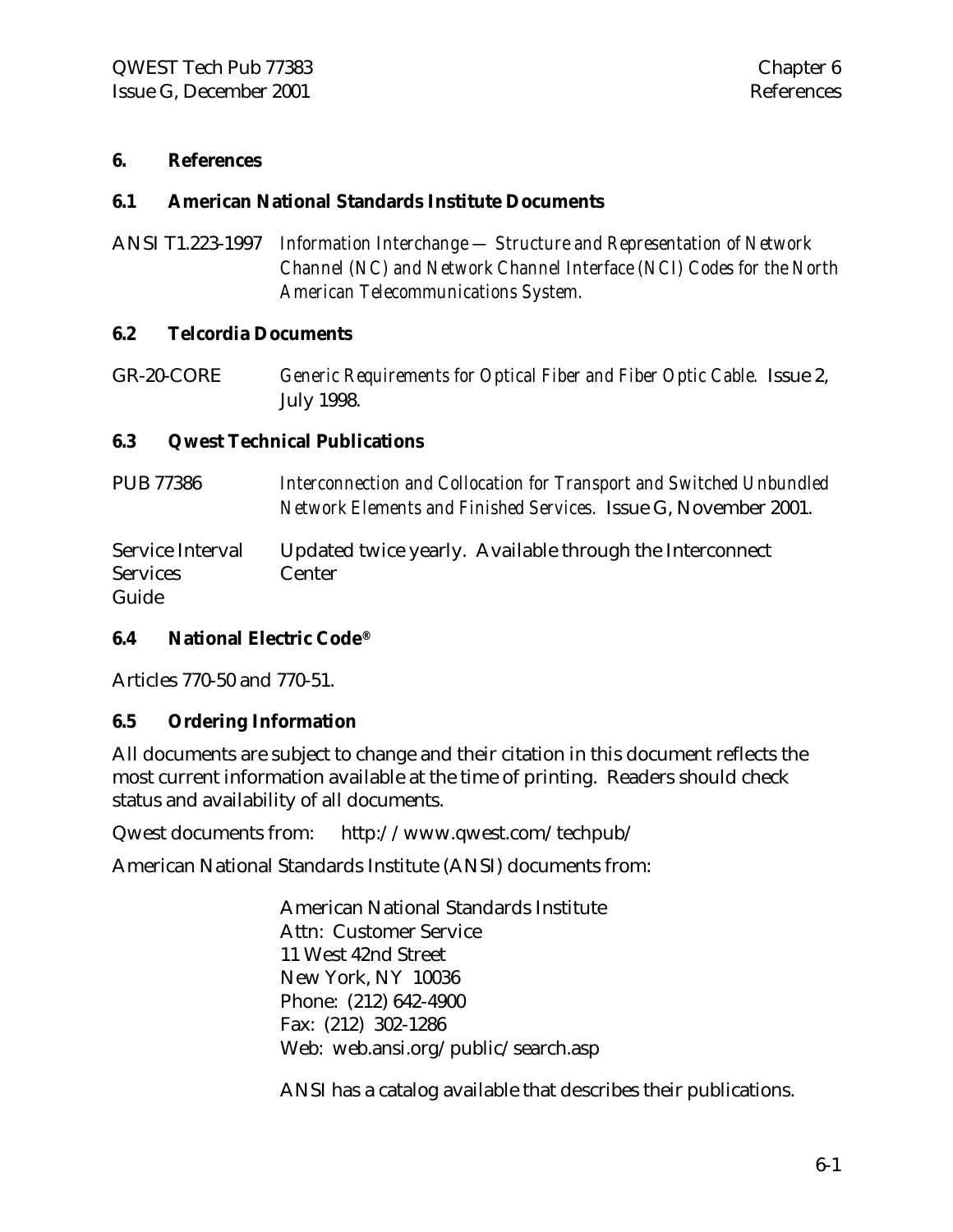#### **6. References**

#### **6.1 American National Standards Institute Documents**

ANSI T1.223-1997 *Information Interchange — Structure and Representation of Network Channel (NC) and Network Channel Interface (NCI) Codes for the North American Telecommunications System.*

#### **6.2 Telcordia Documents**

GR-20-CORE *Generic Requirements for Optical Fiber and Fiber Optic Cable.* Issue 2, July 1998.

#### **6.3 Qwest Technical Publications**

| PUB 77386                                    | Interconnection and Collocation for Transport and Switched Unbundled<br>Network Elements and Finished Services. Issue G, November 2001. |
|----------------------------------------------|-----------------------------------------------------------------------------------------------------------------------------------------|
| Service Interval<br><b>Services</b><br>Guide | Updated twice yearly. Available through the Interconnect<br>Center                                                                      |

#### **6.4 National Electric Code®**

Articles 770-50 and 770-51.

#### **6.5 Ordering Information**

All documents are subject to change and their citation in this document reflects the most current information available at the time of printing. Readers should check status and availability of all documents.

Qwest documents from: http://www.qwest.com/techpub/

American National Standards Institute (ANSI) documents from:

American National Standards Institute Attn: Customer Service 11 West 42nd Street New York, NY 10036 Phone: (212) 642-4900 Fax: (212) 302-1286 Web: web.ansi.org/public/search.asp

ANSI has a catalog available that describes their publications.